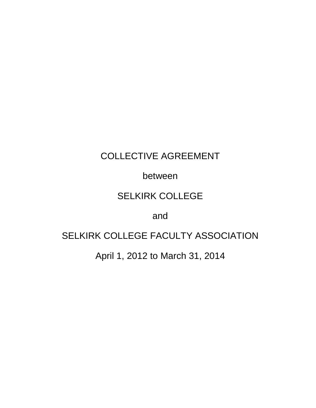# COLLECTIVE AGREEMENT

# between

# SELKIRK COLLEGE

# and

# SELKIRK COLLEGE FACULTY ASSOCIATION

April 1, 2012 to March 31, 2014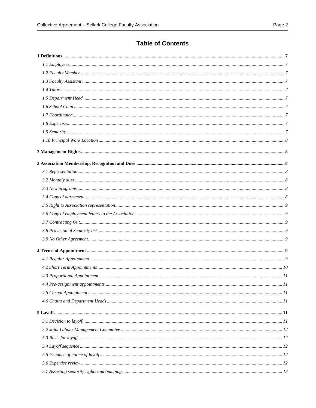# **Table of Contents**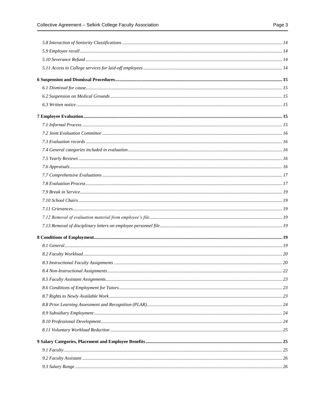|--|--|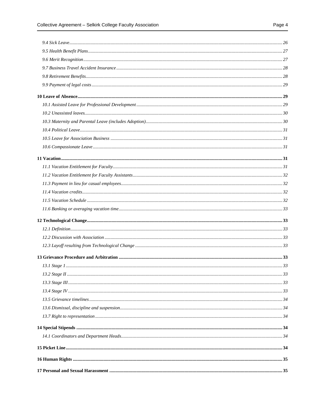|--|--|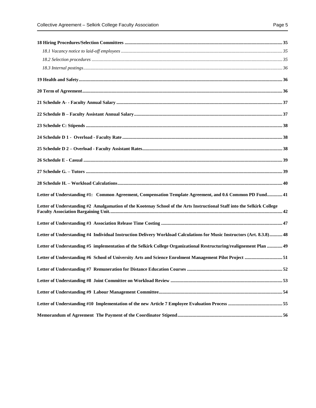| Letter of Understanding #1: Common Agreement, Compensation Template Agreement, and 0.6 Common PD Fund 41                     |  |
|------------------------------------------------------------------------------------------------------------------------------|--|
| Letter of Understanding #2 Amalgamation of the Kootenay School of the Arts Instructional Staff into the Selkirk College      |  |
|                                                                                                                              |  |
| 18 48 Letter of Understanding #4 Individual Instruction Delivery Workload Calculations for Music Instructors (Art. 8.3.8) 48 |  |
| 49 Letter of Understanding #5 implementation of the Selkirk College Organizational Restructuring/realignement Plan  49       |  |
| Letter of Understanding #6 School of University Arts and Science Enrolment Management Pilot Project 51                       |  |
|                                                                                                                              |  |
|                                                                                                                              |  |
|                                                                                                                              |  |
|                                                                                                                              |  |
|                                                                                                                              |  |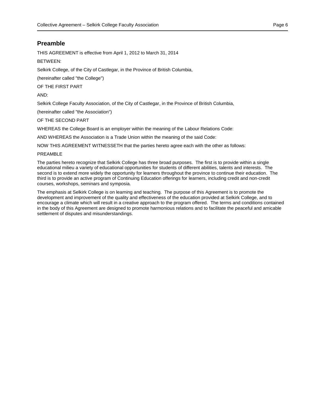# **Preamble**

THIS AGREEMENT is effective from April 1, 2012 to March 31, 2014

# BETWEEN:

Selkirk College, of the City of Castlegar, in the Province of British Columbia,

(hereinafter called "the College")

OF THE FIRST PART

AND:

Selkirk College Faculty Association, of the City of Castlegar, in the Province of British Columbia,

(hereinafter called "the Association")

OF THE SECOND PART

WHEREAS the College Board is an employer within the meaning of the Labour Relations Code:

AND WHEREAS the Association is a Trade Union within the meaning of the said Code:

NOW THIS AGREEMENT WITNESSETH that the parties hereto agree each with the other as follows:

#### PREAMBLE

The parties hereto recognize that Selkirk College has three broad purposes. The first is to provide within a single educational milieu a variety of educational opportunities for students of different abilities, talents and interests. The second is to extend more widely the opportunity for learners throughout the province to continue their education. The third is to provide an active program of Continuing Education offerings for learners, including credit and non-credit courses, workshops, seminars and symposia.

The emphasis at Selkirk College is on learning and teaching. The purpose of this Agreement is to promote the development and improvement of the quality and effectiveness of the education provided at Selkirk College, and to encourage a climate which will result in a creative approach to the program offered. The terms and conditions contained in the body of this Agreement are designed to promote harmonious relations and to facilitate the peaceful and amicable settlement of disputes and misunderstandings.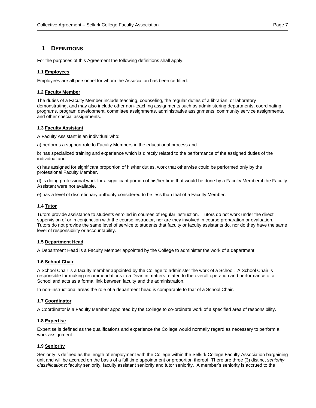# <span id="page-6-0"></span>**1 DEFINITIONS**

For the purposes of this Agreement the following definitions shall apply:

# <span id="page-6-1"></span>**1.1 Employees**

Employees are all personnel for whom the Association has been certified.

# <span id="page-6-2"></span>**1.2 Faculty Member**

The duties of a Faculty Member include teaching, counseling, the regular duties of a librarian, or laboratory demonstrating, and may also include other non-teaching assignments such as administering departments, coordinating programs, program development, committee assignments, administrative assignments, community service assignments, and other special assignments.

# <span id="page-6-3"></span>**1.3 Faculty Assistant**

A Faculty Assistant is an individual who:

a) performs a support role to Faculty Members in the educational process and

b) has specialized training and experience which is directly related to the performance of the assigned duties of the individual and

c) has assigned for significant proportion of his/her duties, work that otherwise could be performed only by the professional Faculty Member.

d) is doing professional work for a significant portion of his/her time that would be done by a Faculty Member if the Faculty Assistant were not available.

e) has a level of discretionary authority considered to be less than that of a Faculty Member.

# <span id="page-6-4"></span>**1.4 Tutor**

Tutors provide assistance to students enrolled in courses of regular instruction. Tutors do not work under the direct supervision of or in conjunction with the course instructor, nor are they involved in course preparation or evaluation. Tutors do not provide the same level of service to students that faculty or faculty assistants do, nor do they have the same level of responsibility or accountability.

# <span id="page-6-5"></span>**1.5 Department Head**

A Department Head is a Faculty Member appointed by the College to administer the work of a department.

# <span id="page-6-6"></span>**1.6 School Chair**

A School Chair is a faculty member appointed by the College to administer the work of a School. A School Chair is responsible for making recommendations to a Dean in matters related to the overall operation and performance of a School and acts as a formal link between faculty and the administration.

In non-instructional areas the role of a department head is comparable to that of a School Chair.

# <span id="page-6-7"></span>**1.7 Coordinator**

A Coordinator is a Faculty Member appointed by the College to co-ordinate work of a specified area of responsibility.

# <span id="page-6-8"></span>**1.8 Expertise**

Expertise is defined as the qualifications and experience the College would normally regard as necessary to perform a work assignment.

# <span id="page-6-9"></span>**1.9 Seniority**

Seniority is defined as the length of employment with the College within the Selkirk College Faculty Association bargaining unit and will be accrued on the basis of a full time appointment or proportion thereof. There are three (3) distinct *seniority classifications*: faculty seniority, faculty assistant seniority and tutor seniority. A member's seniority is accrued to the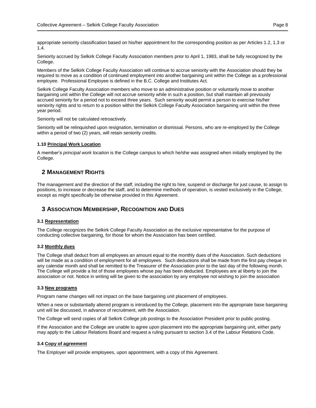appropriate seniority classification based on his/her appointment for the corresponding position as per Articles 1.2, 1.3 or 1.4.

Seniority accrued by Selkirk College Faculty Association members prior to April 1, 1983, shall be fully recognized by the College.

Members of the Selkirk College Faculty Association will continue to accrue seniority with the Association should they be required to move as a condition of continued employment into another bargaining unit within the College as a professional employee. Professional Employee is defined in the B.C. College and Institutes Act.

Selkirk College Faculty Association members who move to an administrative position or voluntarily move to another bargaining unit within the College will not accrue seniority while in such a position, but shall maintain all previously accrued seniority for a period not to exceed three years. Such seniority would permit a person to exercise his/her seniority rights and to return to a position within the Selkirk College Faculty Association bargaining unit within the three year period.

Seniority will not be calculated retroactively.

Seniority will be relinquished upon resignation, termination or dismissal. Persons, who are re-employed by the College within a period of two (2) years, will retain seniority credits.

#### <span id="page-7-0"></span>**1.10 Principal Work Location**

A member's *principal work location* is the College campus to which he/she was assigned when initially employed by the College.

# <span id="page-7-1"></span>**2 MANAGEMENT RIGHTS**

The management and the direction of the staff, including the right to hire, suspend or discharge for just cause, to assign to positions, to increase or decrease the staff, and to determine methods of operation, is vested exclusively in the College, except as might specifically be otherwise provided in this Agreement.

# <span id="page-7-2"></span>**3 ASSOCIATION MEMBERSHIP, RECOGNITION AND DUES**

#### <span id="page-7-3"></span>**3.1 Representation**

The College recognizes the Selkirk College Faculty Association as the exclusive representative for the purpose of conducting collective bargaining, for those for whom the Association has been certified.

#### <span id="page-7-4"></span>**3.2 Monthly dues**

The College shall deduct from all employees an amount equal to the monthly dues of the Association. Such deductions will be made as a condition of employment for all employees. Such deductions shall be made from the first pay cheque in any calendar month and shall be remitted to the Treasurer of the Association prior to the last day of the following month. The College will provide a list of those employees whose pay has been deducted. Employees are at liberty to join the association or not. Notice in writing will be given to the association by any employee not wishing to join the association

#### <span id="page-7-5"></span>**3.3 New programs**

Program name changes will not impact on the base bargaining unit placement of employees.

When a new or substantially altered program is introduced by the College, placement into the appropriate base bargaining unit will be discussed, in advance of recruitment, with the Association.

The College will send copies of all Selkirk College job postings to the Association President prior to public posting.

If the Association and the College are unable to agree upon placement into the appropriate bargaining unit, either party may apply to the Labour Relations Board and request a ruling pursuant to section 3.4 of the Labour Relations Code.

#### <span id="page-7-6"></span>**3.4 Copy of agreement**

The Employer will provide employees, upon appointment, with a copy of this Agreement.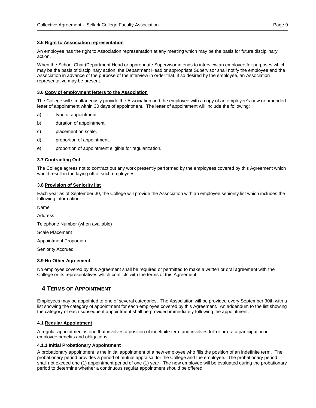# <span id="page-8-0"></span>**3.5 Right to Association representation**

An employee has the right to Association representation at any meeting which may be the basis for future disciplinary action.

When the School Chair**/**Department Head or appropriate Supervisor intends to interview an employee for purposes which may be the basis of disciplinary action, the Department Head or appropriate Supervisor shall notify the employee and the Association in advance of the purpose of the interview in order that, if so desired by the employee, an Association representative may be present.

# <span id="page-8-1"></span>**3.6 Copy of employment letters to the Association**

The College will simultaneously provide the Association and the employee with a copy of an employee's new or amended letter of appointment within 30 days of appointment. The letter of appointment will include the following:

- a) type of appointment.
- b) duration of appointment.
- c) placement on scale.
- d) proportion of appointment.
- e) proportion of appointment eligible for regularization.

# <span id="page-8-2"></span>**3.7 Contracting Out**

The College agrees not to contract out any work presently performed by the employees covered by this Agreement which would result in the laying off of such employees.

# <span id="page-8-3"></span>**3.8 Provision of Seniority list**

Each year as of September 30, the College will provide the Association with an employee seniority list which includes the following information:

Name

Address

Telephone Number (when available)

Scale Placement

Appointment Proportion

Seniority Accrued

# <span id="page-8-4"></span>**3.9 No Other Agreement**

No employee covered by this Agreement shall be required or permitted to make a written or oral agreement with the College or its representatives which conflicts with the terms of this Agreement.

# <span id="page-8-5"></span>**4 TERMS OF APPOINTMENT**

Employees may be appointed to one of several categories. The Association will be provided every September 30th with a list showing the category of appointment for each employee covered by this Agreement. An addendum to the list showing the category of each subsequent appointment shall be provided immediately following the appointment.

# <span id="page-8-6"></span>**4.1 Regular Appointment**

A regular appointment is one that involves a position of indefinite term and involves full or pro rata participation in employee benefits and obligations.

# **4.1.1 Initial Probationary Appointment**

A probationary appointment is the initial appointment of a new employee who fills the position of an indefinite term. The probationary period provides a period of mutual appraisal for the College and the employee. The probationary period shall not exceed one (1) appointment period of one (1) year. The new employee will be evaluated during the probationary period to determine whether a continuous regular appointment should be offered.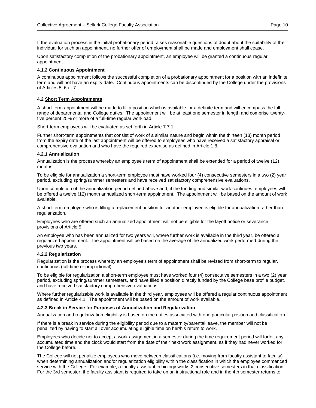If the evaluation process in the initial probationary period raises reasonable questions of doubt about the suitability of the individual for such an appointment, no further offer of employment shall be made and employment shall cease.

Upon satisfactory completion of the probationary appointment, an employee will be granted a continuous regular appointment.

#### **4.1.2 Continuous Appointment**

A continuous appointment follows the successful completion of a probationary appointment for a position with an indefinite term and will not have an expiry date. Continuous appointments can be discontinued by the College under the provisions of Articles 5, 6 or 7.

# <span id="page-9-0"></span>**4.2 Short Term Appointments**

A short-term appointment will be made to fill a position which is available for a definite term and will encompass the full range of departmental and College duties. The appointment will be at least one semester in length and comprise twentyfive percent 25% or more of a full-time regular workload.

Short-term employees will be evaluated as set forth in Article 7.7.1.

Further short-term appointments that consist of work of a similar nature and begin within the thirteen (13) month period from the expiry date of the last appointment will be offered to employees who have received a satisfactory appraisal or comprehensive evaluation and who have the required expertise as defined in Article 1.8.

#### **4.2.1 Annualization**

Annualization is the process whereby an employee's term of appointment shall be extended for a period of twelve (12) months.

To be eligible for annualization a short-term employee must have worked four (4) consecutive semesters in a two (2) year period, excluding spring/summer semesters and have received satisfactory comprehensive evaluations.

Upon completion of the annualization period defined above and, if the funding and similar work continues, employees will be offered a twelve (12) month annualized short-term appointment. The appointment will be based on the amount of work available.

A short-term employee who is filling a replacement position for another employee is eligible for annualization rather than regularization.

Employees who are offered such an annualized appointment will not be eligible for the layoff notice or severance provisions of Article 5.

An employee who has been annualized for two years will, where further work is available in the third year, be offered a regularized appointment. The appointment will be based on the average of the annualized work performed during the previous two years.

### **4.2.2 Regularization**

Regularization is the process whereby an employee's term of appointment shall be revised from short-term to regular, continuous (full-time or proportional).

To be eligible for regularization a short-term employee must have worked four (4) consecutive semesters in a two (2) year period, excluding spring/summer semesters, and have filled a position directly funded by the College base profile budget, and have received satisfactory comprehensive evaluations.

Where further regularizable work is available in the third year, employees will be offered a regular continuous appointment as defined in Article 4.1. The appointment will be based on the amount of work available.

#### **4.2.3 Break in Service for Purposes of Annualization and Regularization**

Annualization and regularization eligibility is based on the duties associated with one particular position and classification.

If there is a break in service during the eligibility period due to a maternity/parental leave, the member will not be penalized by having to start all over accumulating eligible time on her/his return to work.

Employees who decide not to accept a work assignment in a semester during the time requirement period will forfeit any accumulated time and the clock would start from the date of their next work assignment, as if they had never worked for the College before.

The College will not penalize employees who move between classifications (i.e. moving from faculty assistant to faculty) when determining annualization and/or regularization eligibility within the classification in which the employee commenced service with the College. For example, a faculty assistant in biology works 2 consecutive semesters in that classification. For the 3rd semester, the faculty assistant is required to take on an instructional role and in the 4th semester returns to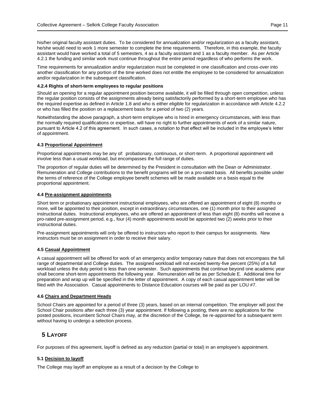his/her original faculty assistant duties. To be considered for annualization and/or regularization as a faculty assistant, he/she would need to work 1 more semester to complete the time requirements. Therefore, in this example, the faculty assistant would have worked a total of 5 semesters, 4 as a faculty assistant and 1 as a faculty member. As per Article 4.2.1 the funding and similar work must continue throughout the entire period regardless of who performs the work.

Time requirements for annualization and/or regularization must be completed in one classification and cross-over into another classification for any portion of the time worked does not entitle the employee to be considered for annualization and/or regularization in the subsequent classification.

#### **4.2.4 Rights of short-term employees to regular positions**

Should an opening for a regular appointment position become available, it will be filled through open competition, unless the regular position consists of the assignments already being satisfactorily performed by a short-term employee who has the required expertise as defined in Article 1.8 and who is either eligible for regularization in accordance with Article 4.2.2 or who has filled the position on a replacement basis for a period of two (2) years.

Notwithstanding the above paragraph, a short-term employee who is hired in emergency circumstances, with less than the normally required qualifications or expertise, will have no right to further appointments of work of a similar nature, pursuant to Article 4.2 of this agreement. In such cases, a notation to that effect will be included in the employee's letter of appointment.

# <span id="page-10-0"></span>**4.3 Proportional Appointment**

Proportional appointments may be any of: probationary, continuous, or short-term. A proportional appointment will involve less than a usual workload, but encompasses the full range of duties.

The proportion of regular duties will be determined by the President in consultation with the Dean or Administrator. Remuneration and College contributions to the benefit programs will be on a pro-rated basis. All benefits possible under the terms of reference of the College employee benefit schemes will be made available on a basis equal to the proportional appointment.

#### <span id="page-10-1"></span>**4.4 Pre-assignment appointments**

Short term or probationary appointment instructional employees, who are offered an appointment of eight (8) months or more, will be appointed to their position, except in extraordinary circumstances, one (1) month prior to their assigned instructional duties. Instructional employees, who are offered an appointment of less than eight (8) months will receive a pro-rated pre-assignment period, e.g., four (4) month appointments would be appointed two (2) weeks prior to their instructional duties.

Pre-assignment appointments will only be offered to instructors who report to their campus for assignments. New instructors must be on assignment in order to receive their salary.

# <span id="page-10-2"></span>**4.5 Casual Appointment**

A casual appointment will be offered for work of an emergency and/or temporary nature that does not encompass the full range of departmental and College duties. The assigned workload will not exceed twenty-five percent (25%) of a full workload unless the duty period is less than one semester. Such appointments that continue beyond one academic year shall become short-term appointments the following year. Remuneration will be as per Schedule E. Additional time for preparation and wrap up will be specified in the letter of appointment. A copy of each casual appointment letter will be filed with the Association. Casual appointments to Distance Education courses will be paid as per LOU #7.

# <span id="page-10-3"></span>**4.6 Chairs and Department Heads**

School Chairs are appointed for a period of three (3) years, based on an internal competition. The employer will post the School Chair positions after each three (3) year appointment. If following a posting, there are no applications for the posted positions, incumbent School Chairs may, at the discretion of the College, be re-appointed for a subsequent term without having to undergo a selection process.

# <span id="page-10-4"></span>**5 LAYOFF**

For purposes of this agreement, layoff is defined as any reduction (partial or total) in an employee's appointment.

# <span id="page-10-5"></span>**5.1 Decision to layoff**

The College may layoff an employee as a result of a decision by the College to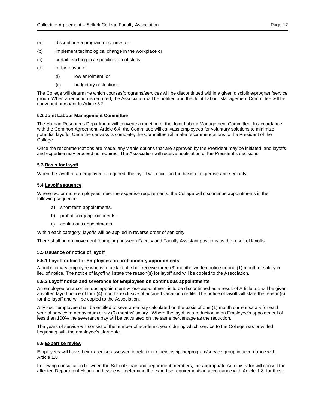- (a) discontinue a program or course, or
- (b) implement technological change in the workplace or
- (c) curtail teaching in a specific area of study
- (d) or by reason of
	- (i) low enrolment, or
	- (ii) budgetary restrictions.

The College will determine which courses/programs/services will be discontinued within a given discipline/program/service group. When a reduction is required, the Association will be notified and the Joint Labour Management Committee will be convened pursuant to Article 5.2.

#### <span id="page-11-0"></span>**5.2 Joint Labour Management Committee**

The Human Resources Department will convene a meeting of the Joint Labour Management Committee. In accordance with the Common Agreement, Article 6.4, the Committee will canvass employees for voluntary solutions to minimize potential layoffs. Once the canvass is complete, the Committee will make recommendations to the President of the College.

Once the recommendations are made, any viable options that are approved by the President may be initiated, and layoffs and expertise may proceed as required. The Association will receive notification of the President's decisions.

# <span id="page-11-1"></span>**5.3 Basis for layoff**

When the layoff of an employee is required, the layoff will occur on the basis of expertise and seniority.

#### <span id="page-11-2"></span>**5.4 Layoff sequence**

Where two or more employees meet the expertise requirements, the College will discontinue appointments in the following sequence

- a) short-term appointments.
- b) probationary appointments.
- c) continuous appointments.

Within each category, layoffs will be applied in reverse order of seniority.

There shall be no movement (bumping) between Faculty and Faculty Assistant positions as the result of layoffs.

#### <span id="page-11-3"></span>**5.5 Issuance of notice of layoff**

#### **5.5.1 Layoff notice for Employees on probationary appointments**

A probationary employee who is to be laid off shall receive three (3) months written notice or one (1) month of salary in lieu of notice. The notice of layoff will state the reason(s) for layoff and will be copied to the Association.

#### **5.5.2 Layoff notice and severance for Employees on continuous appointments**

An employee on a continuous appointment whose appointment is to be discontinued as a result of Article 5.1 will be given a written layoff notice of four (4) months exclusive of accrued vacation credits. The notice of layoff will state the reason(s) for the layoff and will be copied to the Association.

Any such employee shall be entitled to severance pay calculated on the basis of one (1) month current salary for each year of service to a maximum of six (6) months' salary. Where the layoff is a reduction in an Employee's appointment of less than 100% the severance pay will be calculated on the same percentage as the reduction.

The years of service will consist of the number of academic years during which service to the College was provided, beginning with the employee's start date.

#### <span id="page-11-4"></span>**5.6 Expertise review**

Employees will have their expertise assessed in relation to their discipline/program/service group in accordance with Article 1.8

Following consultation between the School Chair and department members, the appropriate Administrator will consult the affected Department Head and he/she will determine the expertise requirements in accordance with Article 1.8 for those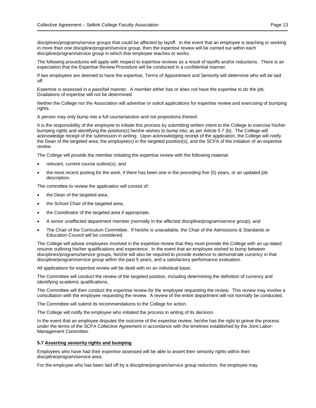disciplines/programs/service groups that could be affected by layoff. In the event that an employee is teaching or working in more than one discipline/program/service group, then the expertise review will be carried out within each discipline/program/service group in which that employee teaches or works.

The following procedures will apply with respect to expertise reviews as a result of layoffs and/or reductions. There is an expectation that the Expertise Review Procedure will be conducted in a confidential manner.

If two employees are deemed to have the expertise, Terms of Appointment and Seniority will determine who will be laid off.

Expertise is assessed in a pass/fail manner. A member either has or does not have the expertise to do the job. Gradations of expertise will not be determined.

Neither the College nor the Association will advertise or solicit applications for expertise review and exercising of bumping rights.

A person may only bump into a full course/section and not proportions thereof.

It is the responsibility of the employee to initiate this process by submitting written intent to the College to exercise his/her bumping rights and identifying the position(s) he/she wishes to bump into; as per Article 5.7 (b). The College will acknowledge receipt of the submission in writing. Upon acknowledging receipt of the application, the College will notify the Dean of the targeted area, the employee(s) in the targeted position(s), and the SCFA of the initiation of an expertise review.

The College will provide the member initiating the expertise review with the following material:

- relevant, current course outline(s), and
- the most recent posting for the work, if there has been one in the preceding five (5) years, or an updated job description.

The committee to review the application will consist of:

- the Dean of the targeted area,
- the School Chair of the targeted area,
- the Coordinator of the targeted area if appropriate,
- A senior unaffected department member (normally in the affected discipline/program/service group), and
- The Chair of the Curriculum Committee. If he/she is unavailable, the Chair of the Admissions & Standards or Education Council will be considered.

The College will advise employees involved in the expertise review that they must provide the College with an up-dated resume outlining his/her qualifications and experience. In the event that an employee wished to bump between disciplines/programs/service groups, he/she will also be required to provide evidence to demonstrate currency in that discipline/program/service group within the past 5 years, and a satisfactory performance evaluation.

All applications for expertise review will be dealt with on an individual basis.

The Committee will conduct the review of the targeted position, including determining the definition of currency and identifying academic qualifications.

The Committee will then conduct the expertise review for the employee requesting the review. This review may involve a consultation with the employee requesting the review. A review of the entire department will not normally be conducted.

The Committee will submit its recommendations to the College for action.

The College will notify the employee who initiated the process in writing of its decision.

In the event that an employee disputes the outcome of the expertise review, he/she has the right to grieve the process under the terms of the SCFA Collective Agreement in accordance with the timelines established by the Joint Labor-Management Committee.

#### <span id="page-12-0"></span>**5.7 Asserting seniority rights and bumping**

Employees who have had their expertise assessed will be able to assert their seniority rights within their discipline/program/service area.

For the employee who has been laid off by a discipline/program/service group reduction, the employee may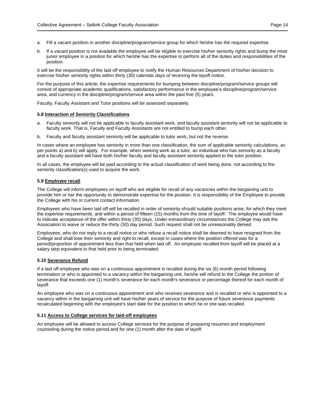- a. Fill a vacant position in another discipline/program/service group for which he/she has the required expertise.
- b. If a vacant position is not available the employee will be eligible to exercise his/her seniority rights and bump the most junior employee in a position for which he/she has the expertise to perform all of the duties and responsibilities of the position.

It will be the responsibility of the laid off employee to notify the Human Resources Department of his/her decision to exercise his/her seniority rights within thirty (30) calendar days of receiving the layoff notice.

For the purpose of this article, the expertise requirements for bumping between discipline/program/service groups will consist of appropriate academic qualifications, satisfactory performance in the employee's discipline/program/service area, and currency in the discipline/program/service area within the past five (5) years.

Faculty, Faculty Assistant and Tutor positions will be assessed separately.

#### <span id="page-13-0"></span>**5.8 Interaction of Seniority Classifications**

- a. Faculty seniority will not be applicable to faculty assistant work, and faculty assistant seniority will not be applicable to faculty work. That is, Faculty and Faculty Assistants are not entitled to bump each other.
- b. Faculty and faculty assistant seniority will be applicable to tutor work, but not the reverse.

In cases where an employee has seniority in more than one classification, the sum of applicable seniority calculations, as per points a) and b) will apply. For example, when seeking work as a tutor, an individual who has seniority as a faculty and a faculty assistant will have both his/her faculty and faculty assistant seniority applied to the tutor position.

In all cases, the employee will be paid according to the actual classification of work being done, not according to the seniority classification(s) used to acquire the work.

### <span id="page-13-1"></span>**5.9 Employee recall**

The College will inform employees on layoff who are eligible for recall of any vacancies within the bargaining unit to provide him or her the opportunity to demonstrate expertise for the position. It is responsibility of the Employee to provide the College with his or current contact information.

Employees who have been laid off will be recalled in order of seniority should suitable positions arise, for which they meet the expertise requirements, and within a period of fifteen (15) months from the time of layoff. The employee would have to indicate acceptance of the offer within thirty (30) days. Under extraordinary circumstances the College may ask the Association to waive or reduce the thirty (30) day period. Such request shall not be unreasonably denied.

Employees, who do not reply to a recall notice or who refuse a recall notice shall be deemed to have resigned from the College and shall lose their seniority and right to recall, except in cases where the position offered was for a period/proportion of appointment less than that held when laid off. An employee recalled from layoff will be placed at a salary step equivalent to that held prior to being terminated.

# <span id="page-13-2"></span>**5.10 Severance Refund**

If a laid off employee who was on a continuous appointment is recalled during the six (6) month period following termination or who is appointed to a vacancy within the bargaining unit, he/she will refund to the College the portion of severance that exceeds one (1) month's severance for each month's severance or percentage thereof for each month of layoff.

An employee who was on a continuous appointment and who receives severance and is recalled or who is appointed to a vacancy within in the bargaining unit will have his/her years of service for the purpose of future severance payments recalculated beginning with the employee's start date for the position to which he or she was recalled.

#### <span id="page-13-3"></span>**5.11 Access to College services for laid-off employees**

An employee will be allowed to access College services for the purpose of preparing resumes and employment counseling during the notice period and for one (1) month after the date of layoff.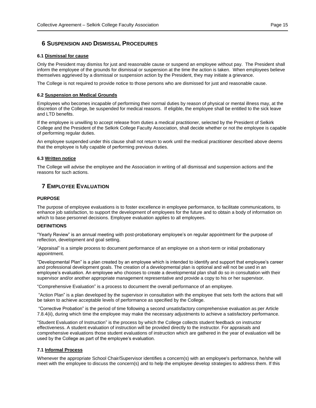# <span id="page-14-0"></span>**6 SUSPENSION AND DISMISSAL PROCEDURES**

#### <span id="page-14-1"></span>**6.1 Dismissal for cause**

Only the President may dismiss for just and reasonable cause or suspend an employee without pay. The President shall inform the employee of the grounds for dismissal or suspension at the time the action is taken. When employees believe themselves aggrieved by a dismissal or suspension action by the President, they may initiate a grievance.

The College is not required to provide notice to those persons who are dismissed for just and reasonable cause.

# <span id="page-14-2"></span>**6.2 Suspension on Medical Grounds**

Employees who becomes incapable of performing their normal duties by reason of physical or mental illness may, at the discretion of the College, be suspended for medical reasons. If eligible, the employee shall be entitled to the sick leave and LTD benefits.

If the employee is unwilling to accept release from duties a medical practitioner, selected by the President of Selkirk College and the President of the Selkirk College Faculty Association, shall decide whether or not the employee is capable of performing regular duties.

An employee suspended under this clause shall not return to work until the medical practitioner described above deems that the employee is fully capable of performing previous duties.

#### <span id="page-14-3"></span>**6.3 Written notice**

The College will advise the employee and the Association in writing of all dismissal and suspension actions and the reasons for such actions.

# <span id="page-14-4"></span>**7 EMPLOYEE EVALUATION**

#### **PURPOSE**

The purpose of employee evaluations is to foster excellence in employee performance, to facilitate communications, to enhance job satisfaction, to support the development of employees for the future and to obtain a body of information on which to base personnel decisions. Employee evaluation applies to all employees.

#### **DEFINITIONS**

"Yearly Review" is an annual meeting with post-probationary employee's on regular appointment for the purpose of reflection, development and goal setting.

"Appraisal" is a simple process to document performance of an employee on a short-term or initial probationary appointment.

"Developmental Plan" is a plan created by an employee which is intended to identify and support that employee's career and professional development goals. The creation of a developmental plan is optional and will not be used in an employee's evaluation. An employee who chooses to create a developmental plan shall do so in consultation with their supervisor and/or another appropriate management representative and provide a copy to his or her supervisor.

"Comprehensive Evaluation" is a process to document the overall performance of an employee.

"Action Plan" is a plan developed by the supervisor in consultation with the employee that sets forth the actions that will be taken to achieve acceptable levels of performance as specified by the College.

"Corrective Probation" is the period of time following a second unsatisfactory comprehensive evaluation as per Article 7.8.4(ii), during which time the employee may make the necessary adjustments to achieve a satisfactory performance.

"Student Evaluation of Instruction" is the process by which the College collects student feedback on instructor effectiveness. A student evaluation of instruction will be provided directly to the instructor. For appraisals and comprehensive evaluations those student evaluations of instruction which are gathered in the year of evaluation will be used by the College as part of the employee's evaluation.

# <span id="page-14-5"></span>**7.1 Informal Process**

Whenever the appropriate School Chair/Supervisor identifies a concern(s) with an employee's performance, he/she will meet with the employee to discuss the concern(s) and to help the employee develop strategies to address them. If this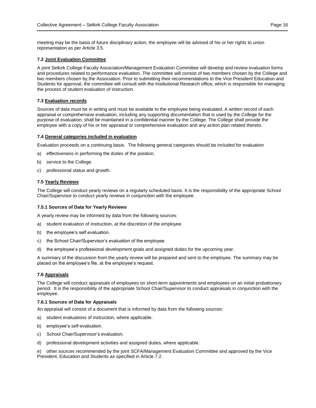meeting may be the basis of future disciplinary action, the employee will be advised of his or her rights to union representation as per Article 3.5.

# <span id="page-15-0"></span>**7.2 Joint Evaluation Committee**

A joint Selkirk College Faculty Association/Management Evaluation Committee will develop and review evaluation forms and procedures related to performance evaluation. The committee will consist of two members chosen by the College and two members chosen by the Association. Prior to submitting their recommendations to the Vice President Education and Students for approval, the committee will consult with the Institutional Research office, which is responsible for managing the process of student evaluation of instruction.

# <span id="page-15-1"></span>**7.3 Evaluation records**

Sources of data must be in writing and must be available to the employee being evaluated. A written record of each appraisal or comprehensive evaluation, including any supporting documentation that is used by the College for the purpose of evaluation, shall be maintained in a confidential manner by the College. The College shall provide the employee with a copy of his or her appraisal or comprehensive evaluation and any action plan related thereto.

# <span id="page-15-2"></span>**7.4 General categories included in evaluation**

Evaluation proceeds on a continuing basis. The following general categories should be included for evaluation

- a) effectiveness in performing the duties of the position.
- b) service to the College.
- c) professional status and growth.

# <span id="page-15-3"></span>**7.5 Yearly Reviews**

The College will conduct yearly reviews on a regularly scheduled basis. It is the responsibility of the appropriate School Chair/Supervisor to conduct yearly reviews in conjunction with the employee.

# **7.5.1 Sources of Data for Yearly Reviews**

A yearly review may be informed by data from the following sources:

- a) student evaluation of instruction, at the discretion of the employee.
- b) the employee's self evaluation.
- c) the School Chair/Supervisor's evaluation of the employee.
- d) the employee's professional development goals and assigned duties for the upcoming year.

A summary of the discussion from the yearly review will be prepared and sent to the employee. The summary may be placed on the employee's file, at the employee's request.

# <span id="page-15-4"></span>**7.6 Appraisals**

The College will conduct appraisals of employees on short-term appointments and employees on an initial probationary period. It is the responsibility of the appropriate School Chair/Supervisor to conduct appraisals in conjunction with the employee.

# **7.6.1 Sources of Data for Appraisals**

An appraisal will consist of a document that is informed by data from the following sources:

- a) student evaluations of instruction, where applicable.
- b) employee's self-evaluation.
- c) School Chair/Supervisor's evaluation.
- d) professional development activities and assigned duties, where applicable.

e) other sources recommended by the joint SCFA/Management Evaluation Committee and approved by the Vice President, Education and Students as specified in Article 7.2.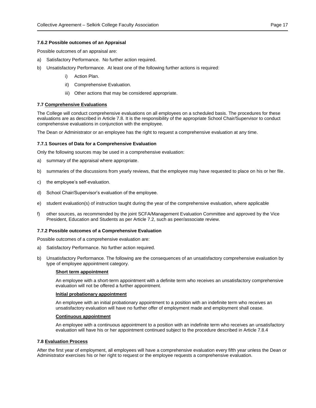#### **7.6.2 Possible outcomes of an Appraisal**

Possible outcomes of an appraisal are:

- a) Satisfactory Performance. No further action required.
- b) Unsatisfactory Performance. At least one of the following further actions is required:
	- i) Action Plan.
	- iI) Comprehensive Evaluation.
	- iii) Other actions that may be considered appropriate.

### <span id="page-16-0"></span>**7.7 Comprehensive Evaluations**

The College will conduct comprehensive evaluations on all employees on a scheduled basis. The procedures for these evaluations are as described in Article 7.8. It is the responsibility of the appropriate School Chair/Supervisor to conduct comprehensive evaluations in conjunction with the employee.

The Dean or Administrator or an employee has the right to request a comprehensive evaluation at any time.

#### **7.7.1 Sources of Data for a Comprehensive Evaluation**

Only the following sources may be used in a comprehensive evaluation:

- a) summary of the appraisal where appropriate.
- b) summaries of the discussions from yearly reviews, that the employee may have requested to place on his or her file.
- c) the employee's self-evaluation.
- d) School Chair/Supervisor's evaluation of the employee.
- e) student evaluation(s) of instruction taught during the year of the comprehensive evaluation, where applicable
- f) other sources, as recommended by the joint SCFA/Management Evaluation Committee and approved by the Vice President, Education and Students as per Article 7.2, such as peer/associate review.

#### **7.7.2 Possible outcomes of a Comprehensive Evaluation**

Possible outcomes of a comprehensive evaluation are:

- a) Satisfactory Performance. No further action required.
- b) Unsatisfactory Performance. The following are the consequences of an unsatisfactory comprehensive evaluation by type of employee appointment category.

#### **Short term appointment**

An employee with a short-term appointment with a definite term who receives an unsatisfactory comprehensive evaluation will not be offered a further appointment.

#### **Initial probationary appointment**

An employee with an initial probationary appointment to a position with an indefinite term who receives an unsatisfactory evaluation will have no further offer of employment made and employment shall cease.

#### **Continuous appointment**

An employee with a continuous appointment to a position with an indefinite term who receives an unsatisfactory evaluation will have his or her appointment continued subject to the procedure described in Article 7.8.4

#### <span id="page-16-1"></span>**7.8 Evaluation Process**

After the first year of employment, all employees will have a comprehensive evaluation every fifth year unless the Dean or Administrator exercises his or her right to request or the employee requests a comprehensive evaluation.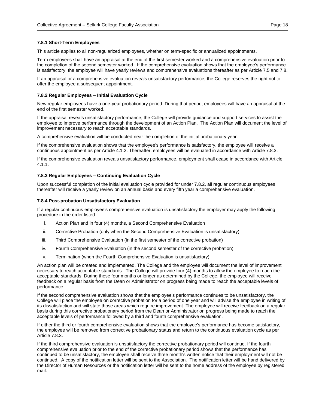#### **7.8.1 Short-Term Employees**

This article applies to all non-regularized employees, whether on term-specific or annualized appointments.

Term employees shall have an appraisal at the end of the first semester worked and a comprehensive evaluation prior to the completion of the second semester worked. If the comprehensive evaluation shows that the employee's performance is satisfactory, the employee will have yearly reviews and comprehensive evaluations thereafter as per Article 7.5 and 7.8.

If an appraisal or a comprehensive evaluation reveals unsatisfactory performance, the College reserves the right not to offer the employee a subsequent appointment.

#### **7.8.2 Regular Employees – Initial Evaluation Cycle**

New regular employees have a one-year probationary period. During that period, employees will have an appraisal at the end of the first semester worked.

If the appraisal reveals unsatisfactory performance, the College will provide guidance and support services to assist the employee to improve performance through the development of an Action Plan. The Action Plan will document the level of improvement necessary to reach acceptable standards.

A comprehensive evaluation will be conducted near the completion of the initial probationary year.

If the comprehensive evaluation shows that the employee's performance is satisfactory, the employee will receive a continuous appointment as per Article 4.1.2. Thereafter, employees will be evaluated in accordance with Article 7.8.3.

If the comprehensive evaluation reveals unsatisfactory performance, employment shall cease in accordance with Article 4.1.1.

#### **7.8.3 Regular Employees – Continuing Evaluation Cycle**

Upon successful completion of the initial evaluation cycle provided for under 7.8.2, all regular continuous employees thereafter will receive a yearly review on an annual basis and every fifth year a comprehensive evaluation.

#### **7.8.4 Post-probation Unsatisfactory Evaluation**

If a regular continuous employee's comprehensive evaluation is unsatisfactory the employer may apply the following procedure in the order listed:

- i. Action Plan and in four (4) months, a Second Comprehensive Evaluation
- ii. Corrective Probation (only when the Second Comprehensive Evaluation is unsatisfactory)
- iii. Third Comprehensive Evaluation (in the first semester of the corrective probation)
- iv. Fourth Comprehensive Evaluation (in the second semester of the corrective probation)
- v. Termination (when the Fourth Comprehensive Evaluation is unsatisfactory)

An action plan will be created and implemented. The College and the employee will document the level of improvement necessary to reach acceptable standards. The College will provide four (4) months to allow the employee to reach the acceptable standards. During these four months or longer as determined by the College, the employee will receive feedback on a regular basis from the Dean or Administrator on progress being made to reach the acceptable levels of performance.

If the second comprehensive evaluation shows that the employee's performance continues to be unsatisfactory, the College will place the employee on corrective probation for a period of one year and will advise the employee in writing of its dissatisfaction and will state those areas which require improvement. The employee will receive feedback on a regular basis during this corrective probationary period from the Dean or Administrator on progress being made to reach the acceptable levels of performance followed by a third and fourth comprehensive evaluation.

If either the third or fourth comprehensive evaluation shows that the employee's performance has become satisfactory, the employee will be removed from corrective probationary status and return to the continuous evaluation cycle as per Article 7.8.3.

If the third comprehensive evaluation is unsatisfactory the corrective probationary period will continue. If the fourth comprehensive evaluation prior to the end of the corrective probationary period shows that the performance has continued to be unsatisfactory, the employee shall receive three month's written notice that their employment will not be continued. A copy of the notification letter will be sent to the Association. The notification letter will be hand delivered by the Director of Human Resources or the notification letter will be sent to the home address of the employee by registered mail.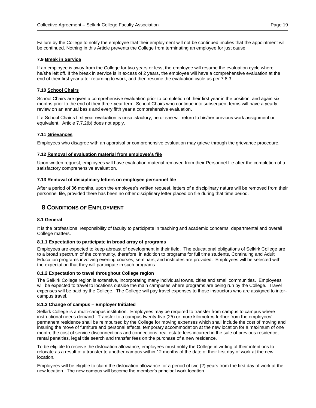Failure by the College to notify the employee that their employment will not be continued implies that the appointment will be continued. Nothing in this Article prevents the College from terminating an employee for just cause.

#### <span id="page-18-0"></span>**7.9 Break in Service**

If an employee is away from the College for two years or less, the employee will resume the evaluation cycle where he/she left off. If the break in service is in excess of 2 years, the employee will have a comprehensive evaluation at the end of their first year after returning to work, and then resume the evaluation cycle as per 7.8.3.

### <span id="page-18-1"></span>**7.10 School Chairs**

School Chairs are given a comprehensive evaluation prior to completion of their first year in the position, and again six months prior to the end of their three-year term. School Chairs who continue into subsequent terms will have a yearly review on an annual basis and every fifth year a comprehensive evaluation.

If a School Chair's first year evaluation is unsatisfactory, he or she will return to his/her previous work assignment or equivalent. Article 7.7.2(b) does not apply.

#### <span id="page-18-2"></span>**7.11 Grievances**

Employees who disagree with an appraisal or comprehensive evaluation may grieve through the grievance procedure.

#### <span id="page-18-3"></span>**7.12 Removal of evaluation material from employee's file**

Upon written request, employees will have evaluation material removed from their Personnel file after the completion of a satisfactory comprehensive evaluation.

#### <span id="page-18-4"></span>**7.13 Removal of disciplinary letters on employee personnel file**

After a period of 36 months, upon the employee's written request, letters of a disciplinary nature will be removed from their personnel file, provided there has been no other disciplinary letter placed on file during that time period.

# <span id="page-18-5"></span>**8 CONDITIONS OF EMPLOYMENT**

# <span id="page-18-6"></span>**8.1 General**

It is the professional responsibility of faculty to participate in teaching and academic concerns, departmental and overall College matters.

#### **8.1.1 Expectation to participate in broad array of programs**

Employees are expected to keep abreast of development in their field. The educational obligations of Selkirk College are to a broad spectrum of the community, therefore, in addition to programs for full time students, Continuing and Adult Education programs involving evening courses, seminars, and institutes are provided. Employees will be selected with the expectation that they will participate in such programs.

#### **8.1.2 Expectation to travel throughout College region**

The Selkirk College region is extensive, incorporating many individual towns, cities and small communities. Employees will be expected to travel to locations outside the main campuses where programs are being run by the College. Travel expenses will be paid by the College. The College will pay travel expenses to those instructors who are assigned to intercampus travel.

#### **8.1.3 Change of campus – Employer Initiated**

Selkirk College is a multi-campus institution. Employees may be required to transfer from campus to campus where instructional needs demand. Transfer to a campus twenty-five (25) or more kilometres further from the employees' permanent residence shall be reimbursed by the College for moving expenses which shall include the cost of moving and insuring the move of furniture and personal effects, temporary accommodation at the new location for a maximum of one month, the cost of service disconnections and connections, real estate fees incurred in the sale of previous residence, rental penalties, legal title search and transfer fees on the purchase of a new residence.

To be eligible to receive the dislocation allowance, employees must notify the College in writing of their intentions to relocate as a result of a transfer to another campus within 12 months of the date of their first day of work at the new location.

Employees will be eligible to claim the dislocation allowance for a period of two (2) years from the first day of work at the new location. The new campus will become the member's principal work location.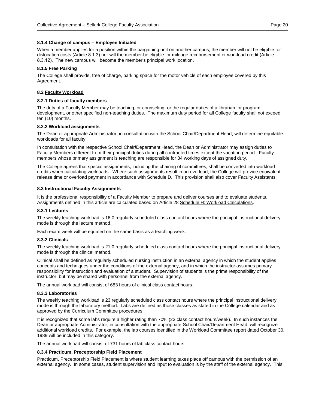### **8.1.4 Change of campus – Employee Initiated**

When a member applies for a position within the bargaining unit on another campus, the member will not be eligible for dislocation costs (Article 8.1.3) nor will the member be eligible for mileage reimbursement or workload credit (Article 8.3.12). The new campus will become the member's principal work location.

# **8.1.5 Free Parking**

The College shall provide, free of charge, parking space for the motor vehicle of each employee covered by this Agreement.

### <span id="page-19-0"></span>**8.2 Faculty Workload**

#### **8.2.1 Duties of faculty members**

The duty of a Faculty Member may be teaching, or counseling, or the regular duties of a librarian, or program development, or other specified non-teaching duties. The maximum duty period for all College faculty shall not exceed ten (10) months.

#### **8.2.2 Workload assignments**

The Dean or appropriate Administrator, in consultation with the School Chair/Department Head, will determine equitable workloads for all faculty.

In consultation with the respective School Chair**/**Department Head, the Dean or Administrator may assign duties to Faculty Members different from their principal duties during all contracted times except the vacation period. Faculty members whose primary assignment is teaching are responsible for 34 working days of assigned duty.

The College agrees that special assignments, including the chairing of committees, shall be converted into workload credits when calculating workloads. Where such assignments result in an overload, the College will provide equivalent release time or overload payment in accordance with Schedule D. This provision shall also cover Faculty Assistants.

#### <span id="page-19-1"></span>**8.3 Instructional Faculty Assignments**

It is the professional responsibility of a Faculty Member to prepare and deliver courses and to evaluate students. Assignments defined in this article are calculated based on Article 28 Schedule H: Workload Calculations.

#### **8.3.1 Lectures**

The weekly teaching workload is 16.0 regularly scheduled class contact hours where the principal instructional delivery mode is through the lecture method.

Each exam week will be equated on the same basis as a teaching week.

#### **8.3.2 Clinicals**

The weekly teaching workload is 21.0 regularly scheduled class contact hours where the principal instructional delivery mode is through the clinical method.

Clinical shall be defined as regularly scheduled nursing instruction in an external agency in which the student applies concepts and techniques under the conditions of the external agency, and in which the instructor assumes primary responsibility for instruction and evaluation of a student. Supervision of students is the prime responsibility of the instructor, but may be shared with personnel from the external agency.

The annual workload will consist of 683 hours of clinical class contact hours.

#### **8.3.3 Laboratories**

The weekly teaching workload is 23 regularly scheduled class contact hours where the principal instructional delivery mode is through the laboratory method. Labs are defined as those classes as stated in the College calendar and as approved by the Curriculum Committee procedures.

It is recognized that some labs require a higher rating than 70% (23 class contact hours/week). In such instances the Dean or appropriate Administrator, in consultation with the appropriate School Chair/Department Head, will recognize additional workload credits. For example, the lab courses identified in the Workload Committee report dated October 30, 1989 will be included in this category.

The annual workload will consist of 731 hours of lab class contact hours.

#### **8.3.4 Practicum, Preceptorship Field Placement**

Practicum, Preceptorship Field Placement is where student learning takes place off campus with the permission of an external agency. In some cases, student supervision and input to evaluation is by the staff of the external agency. This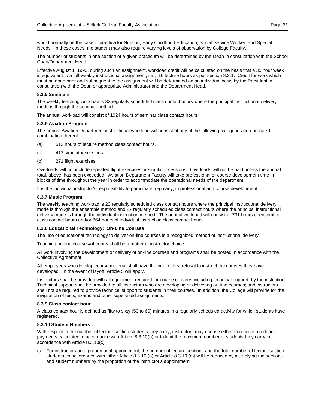would normally be the case in practica for Nursing, Early Childhood Education, Social Service Worker, and Special Needs. In these cases, the student may also require varying levels of observation by College Faculty.

The number of students in one section of a given practicum will be determined by the Dean in consultation with the School Chair/Department Head.

Effective August 1, 1993, during such an assignment, workload credit will be calculated on the basis that a 35 hour week is equivalent to a full weekly instructional assignment, i.e., 16 lecture hours as per section 8.3.1. Credit for work which must be done prior and subsequent to the assignment will be determined on an individual basis by the President in consultation with the Dean or appropriate Administrator and the Department Head.

#### **8.3.5 Seminars**

The weekly teaching workload is 32 regularly scheduled class contact hours where the principal instructional delivery mode is through the seminar method.

The annual workload will consist of 1024 hours of seminar class contact hours.

#### **8.3.6 Aviation Program**

The annual Aviation Department instructional workload will consist of any of the following categories or a prorated combination thereof:

- (a) 512 hours of lecture method class contact hours.
- (b) 417 simulator sessions.
- (c) 271 flight exercises.

Overloads will not include repeated flight exercises or simulator sessions. Overloads will not be paid unless the annual total, above, has been exceeded. Aviation Department Faculty will take professional or course development time in blocks of time throughout the year in order to accommodate the operational needs of the department.

It is the individual instructor's responsibility to participate, regularly, in professional and course development.

#### **8.3.7 Music Program**

The weekly teaching workload is 23 regularly scheduled class contact hours where the principal instructional delivery mode is through the ensemble method and 27 regularly scheduled class contact hours where the principal instructional delivery mode is through the individual instruction method. The annual workload will consist of 731 hours of ensemble class contact hours and/or 864 hours of individual instruction class contact hours.

#### **8.3.8 Educational Technology: On-Line Courses**

The use of educational technology to deliver on-line courses is a recognized method of instructional delivery.

Teaching on-line courses/offerings shall be a matter of instructor choice.

All work involving the development or delivery of on-line courses and programs shall be posted in accordance with the Collective Agreement.

All employees who develop course material shall have the right of first refusal to instruct the courses they have developed. In the event of layoff, Article 5 will apply.

Instructors shall be provided with all equipment required for course delivery, including technical support, by the institution. Technical support shall be provided to all instructors who are developing or delivering on-line courses; and instructors shall not be required to provide technical support to students in their courses. In addition, the College will provide for the invigilation of tests, exams and other supervised assignments.

#### **8.3.9 Class contact hour**

A class contact hour is defined as fifty to sixty (50 to 60) minutes in a regularly scheduled activity for which students have registered.

# **8.3.10 Student Numbers**

With respect to the number of lecture section students they carry, instructors may choose either to receive overload payments calculated in accordance with Article 8.3.10(b) or to limit the maximum number of students they carry in accordance with Article 8.3.10(c).

(a) For instructors on a proportional appointment, the number of lecture sections and the total number of lecture section students [in accordance with either Article 8.3.10.(b) or Article 8.3.10.(c)] will be reduced by multiplying the sections and student numbers by the proportion of the instructor's appointment.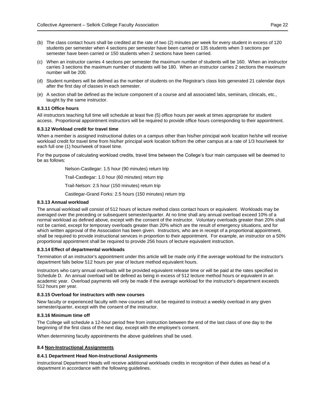- (b) The class contact hours shall be credited at the rate of two (2) minutes per week for every student in excess of 120 students per semester when 4 sections per semester have been carried or 135 students when 3 sections per semester have been carried or 150 students when 2 sections have been carried.
- (c) When an instructor carries 4 sections per semester the maximum number of students will be 160. When an instructor carries 3 sections the maximum number of students will be 180. When an instructor carries 2 sections the maximum number will be 200.
- (d) Student numbers will be defined as the number of students on the Registrar's class lists generated 21 calendar days after the first day of classes in each semester.
- (e) A section shall be defined as the lecture component of a course and all associated labs, seminars, clinicals, etc., taught by the same instructor.

#### **8.3.11 Office hours**

All instructors teaching full time will schedule at least five (5) office hours per week at times appropriate for student access. Proportional appointment instructors will be required to provide office hours corresponding to their appointment.

#### **8.3.12 Workload credit for travel time**

When a member is assigned instructional duties on a campus other than his/her principal work location he/she will receive workload credit for travel time from his/her principal work location to/from the other campus at a rate of 1/3 hour/week for each full one (1) hour/week of travel time.

For the purpose of calculating workload credits, travel time between the College's four main campuses will be deemed to be as follows:

Nelson-Castlegar: 1.5 hour (90 minutes) return trip

Trail-Castlegar: 1.0 hour (60 minutes) return trip

Trail-Nelson: 2.5 hour (150 minutes) return trip

Castlegar-Grand Forks: 2.5 hours (150 minutes) return trip

#### **8.3.13 Annual workload**

The annual workload will consist of 512 hours of lecture method class contact hours or equivalent. Workloads may be averaged over the preceding or subsequent semester/quarter. At no time shall any annual overload exceed 10% of a normal workload as defined above, except with the consent of the instructor. Voluntary overloads greater than 20% shall not be carried, except for temporary overloads greater than 20% which are the result of emergency situations, and for which written approval of the Association has been given. Instructors, who are in receipt of a proportional appointment, shall be required to provide instructional services in proportion to their appointment. For example, an instructor on a 50% proportional appointment shall be required to provide 256 hours of lecture equivalent instruction.

# **8.3.14 Effect of departmental workloads**

Termination of an instructor's appointment under this article will be made only if the average workload for the instructor's department falls below 512 hours per year of lecture method equivalent hours.

Instructors who carry annual overloads will be provided equivalent release time or will be paid at the rates specified in Schedule D. An annual overload will be defined as being in excess of 512 lecture method hours or equivalent in an academic year. Overload payments will only be made if the average workload for the instructor's department exceeds 512 hours per year.

# **8.3.15 Overload for instructors with new courses**

New faculty or experienced faculty with new courses will not be required to instruct a weekly overload in any given semester/quarter, except with the consent of the instructor.

#### **8.3.16 Minimum time off**

The College will schedule a 12-hour period free from instruction between the end of the last class of one day to the beginning of the first class of the next day, except with the employee's consent.

When determining faculty appointments the above guidelines shall be used.

#### <span id="page-21-0"></span>**8.4 Non-Instructional Assignments**

#### **8.4.1 Department Head Non-Instructional Assignments**

Instructional Department Heads will receive additional workloads credits in recognition of their duties as head of a department in accordance with the following guidelines.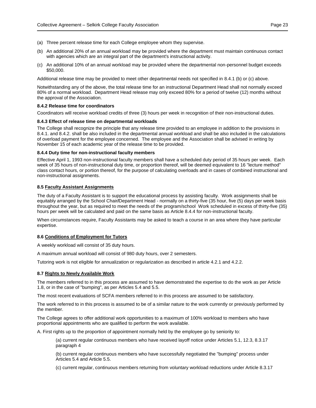- (a) Three percent release time for each College employee whom they supervise.
- (b) An additional 20% of an annual workload may be provided where the department must maintain continuous contact with agencies which are an integral part of the department's instructional activity.
- (c) An additional 10% of an annual workload may be provided where the departmental non-personnel budget exceeds \$50,000.

Additional release time may be provided to meet other departmental needs not specified in 8.4.1 (b) or (c) above.

Notwithstanding any of the above, the total release time for an instructional Department Head shall not normally exceed 80% of a normal workload. Department Head release may only exceed 80% for a period of twelve (12) months without the approval of the Association.

#### **8.4.2 Release time for coordinators**

Coordinators will receive workload credits of three (3) hours per week in recognition of their non-instructional duties.

#### **8.4.3 Effect of release time on departmental workloads**

The College shall recognize the principle that any release time provided to an employee in addition to the provisions in 8.4.1. and 8.4.2. shall be also included in the departmental annual workload and shall be also included in the calculations of overload payment for the employee concerned. The employee and the Association shall be advised in writing by November 15 of each academic year of the release time to be provided.

#### **8.4.4 Duty time for non-instructional faculty members**

Effective April 1, 1993 non-instructional faculty members shall have a scheduled duty period of 35 hours per week. Each week of 35 hours of non-instructional duty time, or proportion thereof, will be deemed equivalent to 16 "lecture method" class contact hours, or portion thereof, for the purpose of calculating overloads and in cases of combined instructional and non-instructional assignments.

#### <span id="page-22-0"></span>**8.5 Faculty Assistant Assignments**

The duty of a Faculty Assistant is to support the educational process by assisting faculty. Work assignments shall be equitably arranged by the School Chair**/**Department Head - normally on a thirty-five (35 hour, five (5) days per week basis throughout the year, but as required to meet the needs of the program/school Work scheduled in excess of thirty-five (35) hours per week will be calculated and paid on the same basis as Article 8.4.4 for non-instructional faculty.

When circumstances require, Faculty Assistants may be asked to teach a course in an area where they have particular expertise.

# <span id="page-22-1"></span>**8.6 Conditions of Employment for Tutors**

A weekly workload will consist of 35 duty hours.

A maximum annual workload will consist of 980 duty hours, over 2 semesters.

Tutoring work is not eligible for annualization or regularization as described in article 4.2.1 and 4.2.2.

#### <span id="page-22-2"></span>**8.7 Rights to Newly Available Work**

The members referred to in this process are assumed to have demonstrated the expertise to do the work as per Article 1.8, or in the case of "bumping", as per Articles 5.4 and 5.5.

The most recent evaluations of SCFA members referred to in this process are assumed to be satisfactory.

The work referred to in this process is assumed to be of a similar nature to the work currently or previously performed by the member.

The College agrees to offer additional work opportunities to a maximum of 100% workload to members who have proportional appointments who are qualified to perform the work available.

A. First rights up to the proportion of appointment normally held by the employee go by seniority to:

(a) current regular continuous members who have received layoff notice under Articles 5.1, 12.3, 8.3.17 paragraph 4

(b) current regular continuous members who have successfully negotiated the "bumping" process under Articles 5.4 and Article 5.5.

(c) current regular, continuous members returning from voluntary workload reductions under Article 8.3.17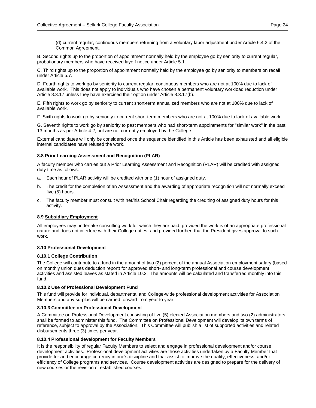(d) current regular, continuous members returning from a voluntary labor adjustment under Article 6.4.2 of the Common Agreement.

B. Second rights up to the proportion of appointment normally held by the employee go by seniority to current regular, probationary members who have received layoff notice under Article 5.1.

C. Third rights up to the proportion of appointment normally held by the employee go by seniority to members on recall under Article 5.7.

D. Fourth rights to work go by seniority to current regular, continuous members who are not at 100% due to lack of available work. This does not apply to individuals who have chosen a permanent voluntary workload reduction under Article 8.3.17 unless they have exercised their option under Article 8.3.17(b).

E. Fifth rights to work go by seniority to current short-term annualized members who are not at 100% due to lack of available work.

F. Sixth rights to work go by seniority to current short-term members who are not at 100% due to lack of available work.

G. Seventh rights to work go by seniority to past members who had short-term appointments for "similar work" in the past 13 months as per Article 4.2, but are not currently employed by the College.

External candidates will only be considered once the sequence identified in this Article has been exhausted and all eligible internal candidates have refused the work.

# <span id="page-23-0"></span>**8.8 Prior Learning Assessment and Recognition (PLAR)**

A faculty member who carries out a Prior Learning Assessment and Recognition (PLAR) will be credited with assigned duty time as follows:

- a. Each hour of PLAR activity will be credited with one (1) hour of assigned duty.
- b. The credit for the completion of an Assessment and the awarding of appropriate recognition will not normally exceed five (5) hours.
- c. The faculty member must consult with her/his School Chair regarding the crediting of assigned duty hours for this activity.

# <span id="page-23-1"></span>**8.9 Subsidiary Employment**

All employees may undertake consulting work for which they are paid, provided the work is of an appropriate professional nature and does not interfere with their College duties, and provided further, that the President gives approval to such work.

# <span id="page-23-2"></span>**8.10 Professional Development**

# **8.10.1 College Contribution**

The College will contribute to a fund in the amount of two (2) percent of the annual Association employment salary (based on monthly union dues deduction report) for approved short- and long-term professional and course development activities and assisted leaves as stated in Article 10.2. The amounts will be calculated and transferred monthly into this fund.

# **8.10.2 Use of Professional Development Fund**

This fund will provide for individual, departmental and College-wide professional development activities for Association Members and any surplus will be carried forward from year to year.

# **8.10.3 Committee on Professional Development**

A Committee on Professional Development consisting of five (5) elected Association members and two (2) administrators shall be formed to administer this fund. The Committee on Professional Development will develop its own terms of reference, subject to approval by the Association. This Committee will publish a list of supported activities and related disbursements three (3) times per year.

# **8.10.4 Professional development for Faculty Members**

It is the responsibility of regular Faculty Members to select and engage in professional development and/or course development activities. Professional development activities are those activities undertaken by a Faculty Member that provide for and encourage currency in one's discipline and that assist to improve the quality, effectiveness, and/or efficiency of College programs and services. Course development activities are designed to prepare for the delivery of new courses or the revision of established courses.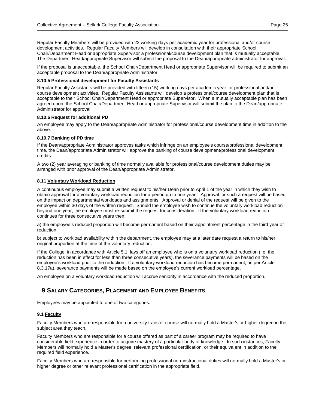Regular Faculty Members will be provided with 22 working days per academic year for professional and/or course development activities. Regular Faculty Members will develop in consultation with their appropriate School Chair/Department Head or appropriate Supervisor a professional/course development plan that is mutually acceptable. The Department Head/appropriate Supervisor will submit the proposal to the Dean/appropriate administrator for approval.

If the proposal is unacceptable, the School Chair/Department Head or appropriate Supervisor will be required to submit an acceptable proposal to the Dean/appropriate Administrator.

#### **8.10.5 Professional development for Faculty Assistants**

Regular Faculty Assistants will be provided with fifteen (15) working days per academic year for professional and/or course development activities. Regular Faculty Assistants will develop a professional/course development plan that is acceptable to their School Chair/Department Head or appropriate Supervisor. When a mutually acceptable plan has been agreed upon, the School Chair/Department Head or appropriate Supervisor will submit the plan to the Dean/appropriate Administrator for approval.

#### **8.10.6 Request for additional PD**

An employee may apply to the Dean/appropriate Administrator for professional/course development time in addition to the above.

#### **8.10.7 Banking of PD time**

If the Dean/appropriate Administrator approves tasks which infringe on an employee's course/professional development time, the Dean/appropriate Administrator will approve the banking of course development/professional development credits.

A two (2) year averaging or banking of time normally available for professional/course development duties may be arranged with prior approval of the Dean/appropriate Administrator.

#### <span id="page-24-0"></span>**8.11 Voluntary Workload Reduction**

A continuous employee may submit a written request to his/her Dean prior to April 1 of the year in which they wish to obtain approval for a voluntary workload reduction for a period up to one year. Approval for such a request will be based on the impact on departmental workloads and assignments. Approval or denial of the request will be given to the employee within 30 days of the written request. Should the employee wish to continue the voluntary workload reduction beyond one year, the employee must re-submit the request for consideration. If the voluntary workload reduction continues for three consecutive years then:

a) the employee's reduced proportion will become permanent based on their appointment percentage in the third year of reduction,

b) subject to workload availability within the department, the employee may at a later date request a return to his/her original proportion at the time of the voluntary reduction.

If the College, in accordance with Article 5.1, lays off an employee who is on a voluntary workload reduction (i.e. the reduction has been in effect for less than three consecutive years), the severance payments will be based on the employee's workload prior to the reduction. If a voluntary workload reduction has become permanent, as per Article 8.3.17a), severance payments will be made based on the employee's current workload percentage.

An employee on a voluntary workload reduction will accrue seniority in accordance with the reduced proportion.

# <span id="page-24-1"></span>**9 SALARY CATEGORIES, PLACEMENT AND EMPLOYEE BENEFITS**

Employees may be appointed to one of two categories.

# <span id="page-24-2"></span>**9.1 Faculty**

Faculty Members who are responsible for a university transfer course will normally hold a Master's or higher degree in the subject area they teach.

Faculty Members who are responsible for a course offered as part of a career program may be required to have considerable field experience in order to acquire mastery of a particular body of knowledge. In such instances, Faculty Members will normally hold a Master's degree, relevant professional certification, or their equivalent in addition to the required field experience.

Faculty Members who are responsible for performing professional non-instructional duties will normally hold a Master's or higher degree or other relevant professional certification in the appropriate field.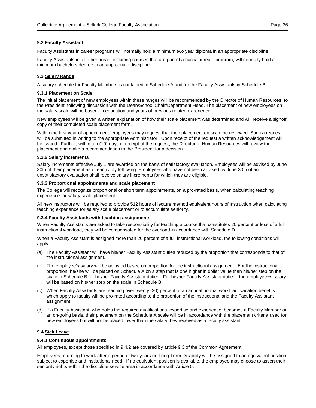### <span id="page-25-0"></span>**9.2 Faculty Assistant**

Faculty Assistants in career programs will normally hold a minimum two year diploma in an appropriate discipline.

Faculty Assistants in all other areas, including courses that are part of a baccalaureate program, will normally hold a minimum bachelors degree in an appropriate discipline.

#### <span id="page-25-1"></span>**9.3 Salary Range**

A salary schedule for Faculty Members is contained in Schedule A and for the Faculty Assistants in Schedule B.

#### **9.3.1 Placement on Scale**

The initial placement of new employees within these ranges will be recommended by the Director of Human Resources, to the President, following discussion with the Dean/School Chair/Department Head. The placement of new employees on the salary scale will be based on education and years of previous related experience.

New employees will be given a written explanation of how their scale placement was determined and will receive a signoff copy of their completed scale placement form.

Within the first year of appointment, employees may request that their placement on scale be reviewed. Such a request will be submitted in writing to the appropriate Administrator. Upon receipt of the request a written acknowledgement will be issued. Further, within ten (10) days of receipt of the request, the Director of Human Resources will review the placement and make a recommendation to the President for a decision.

#### **9.3.2 Salary increments**

Salary increments effective July 1 are awarded on the basis of satisfactory evaluation. Employees will be advised by June 30th of their placement as of each July following. Employees who have not been advised by June 30th of an unsatisfactory evaluation shall receive salary increments for which they are eligible.

#### **9.3.3 Proportional appointments and scale placement**

The College will recognize proportional or short term appointments, on a pro-rated basis, when calculating teaching experience for salary scale placement.

All new instructors will be required to provide 512 hours of lecture method equivalent hours of instruction when calculating teaching experience for salary scale placement or to accumulate seniority.

#### **9.3.4 Faculty Assistants with teaching assignments**

When Faculty Assistants are asked to take responsibility for teaching a course that constitutes 20 percent or less of a full instructional workload, they will be compensated for the overload in accordance with Schedule D.

When a Faculty Assistant is assigned more than 20 percent of a full instructional workload, the following conditions will apply.

- (a) The Faculty Assistant will have his/her Faculty Assistant duties reduced by the proportion that corresponds to that of the instructional assignment.
- (b) The employee's salary will be adjusted based on proportion for the instructional assignment. For the instructional proportion, he/she will be placed on Schedule A on a step that is one higher in dollar value than his/her step on the scale in Schedule B for his/her Faculty Assistant duties. For his/her Faculty Assistant duties, the employee=s salary will be based on his/her step on the scale in Schedule B.
- (c) When Faculty Assistants are teaching over twenty (20) percent of an annual normal workload, vacation benefits which apply to faculty will be pro-rated according to the proportion of the instructional and the Faculty Assistant assignment.
- (d) If a Faculty Assistant, who holds the required qualifications, expertise and experience, becomes a Faculty Member on an on-going basis, their placement on the Schedule A scale will be in accordance with the placement criteria used for new employees but will not be placed lower than the salary they received as a faculty assistant.

#### <span id="page-25-2"></span>**9.4 Sick Leave**

# **9.4.1 Continuous appointments**

All employees, except those specified in 9.4.2 are covered by article 9.3 of the Common Agreement.

Employees returning to work after a period of two years on Long Term Disability will be assigned to an equivalent position, subject to expertise and institutional need. If no equivalent position is available, the employee may choose to assert their seniority rights within the discipline service area in accordance with Article 5.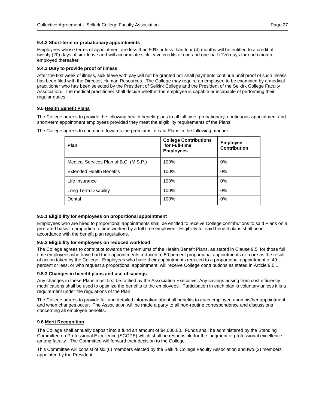# **9.4.2 Short-term or probationary appointments**

Employees whose terms of appointment are less than 50% or less than four (4) months will be entitled to a credit of twenty (20) days of sick leave and will accumulate sick leave credits of one and one-half (1½) days for each month employed thereafter.

#### **9.4.3 Duty to provide proof of illness**

After the first week of illness, sick leave with pay will not be granted nor shall payments continue until proof of such illness has been filed with the Director, Human Resources. The College may require an employee to be examined by a medical practitioner who has been selected by the President of Selkirk College and the President of the Selkirk College Faculty Association. The medical practitioner shall decide whether the employee is capable or incapable of performing their regular duties.

#### <span id="page-26-0"></span>**9.5 Health Benefit Plans**

The College agrees to provide the following health benefit plans to all full time, probationary, continuous appointment and short-term appointment employees provided they meet the eligibility requirements of the Plans.

The College agrees to contribute towards the premiums of said Plans in the following manner:

| Plan                                   | <b>College Contributions</b><br>for Full-time<br><b>Employees</b> | <b>Employee</b><br><b>Contribution</b> |
|----------------------------------------|-------------------------------------------------------------------|----------------------------------------|
| Medical Services Plan of B.C. (M.S.P.) | 100%                                                              | 0%                                     |
| <b>Extended Health Benefits</b>        | 100%                                                              | 0%                                     |
| Life Insurance                         | 100%                                                              | 0%                                     |
| Long Term Disability                   | 100%                                                              | 0%                                     |
| Dental                                 | 100%                                                              | 0%                                     |

# **9.5.1 Eligibility for employees on proportional appointment**

Employees who are hired to proportional appointments shall be entitled to receive College contributions to said Plans on a pro-rated basis in proportion to time worked by a full time employee. Eligibility for said benefit plans shall be in accordance with the benefit plan regulations.

#### **9.5.2 Eligibility for employees on reduced workload**

The College agrees to contribute towards the premiums of the Health Benefit Plans, as stated in Clause 9.5, for those full time employees who have had their appointments reduced to 50 percent proportional appointments or more as the result of action taken by the College. Employees who have their appointments reduced to a proportional appointment of 49 percent or less, or who request a proportional appointment, will receive College contributions as stated in Article 9.5.1.

#### **9.5.3 Changes in benefit plans and use of savings**

Any changes in these Plans must first be ratified by the Association Executive. Any savings arising from cost efficiency modifications shall be used to optimize the benefits to the employees. Participation in each plan is voluntary unless it is a requirement under the regulations of the Plan.

The College agrees to provide full and detailed information about all benefits to each employee upon his/her appointment and when changes occur. The Association will be made a party to all non-routine correspondence and discussions concerning all employee benefits.

# <span id="page-26-1"></span>**9.6 Merit Recognition**

The College shall annually deposit into a fund an amount of \$4,000.00. Funds shall be administered by the Standing Committee on Professional Excellence (SCOPE) which shall be responsible for the judgment of professional excellence among faculty. The Committee will forward their decision to the College.

This Committee will consist of six (6) members elected by the Selkirk College Faculty Association and two (2) members appointed by the President.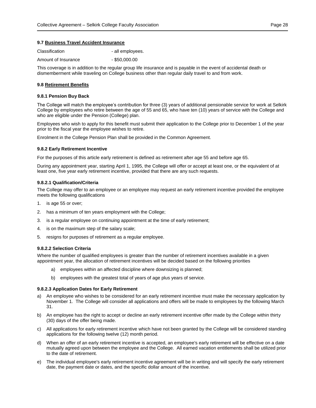#### <span id="page-27-0"></span>**9.7 Business Travel Accident Insurance**

| Classification      | - all employees. |
|---------------------|------------------|
| Amount of Insurance | $-$ \$50,000.00  |

This coverage is in addition to the regular group life insurance and is payable in the event of accidental death or dismemberment while traveling on College business other than regular daily travel to and from work.

#### <span id="page-27-1"></span>**9.8 Retirement Benefits**

#### **9.8.1 Pension Buy Back**

The College will match the employee's contribution for three (3) years of additional pensionable service for work at Selkirk College by employees who retire between the age of 55 and 65, who have ten (10) years of service with the College and who are eligible under the Pension (College) plan.

Employees who wish to apply for this benefit must submit their application to the College prior to December 1 of the year prior to the fiscal year the employee wishes to retire.

Enrolment in the College Pension Plan shall be provided in the Common Agreement.

#### **9.8.2 Early Retirement Incentive**

For the purposes of this article early retirement is defined as retirement after age 55 and before age 65.

During any appointment year, starting April 1, 1995, the College will offer or accept at least one, or the equivalent of at least one, five year early retirement incentive, provided that there are any such requests.

# **9.8.2.1 Qualification/Criteria**

The College may offer to an employee or an employee may request an early retirement incentive provided the employee meets the following qualifications

- 1. is age 55 or over;
- 2. has a minimum of ten years employment with the College;
- 3. is a regular employee on continuing appointment at the time of early retirement;
- 4. is on the maximum step of the salary scale;
- 5. resigns for purposes of retirement as a regular employee.

#### **9.8.2.2 Selection Criteria**

Where the number of qualified employees is greater than the number of retirement incentives available in a given appointment year, the allocation of retirement incentives will be decided based on the following priorities

- a) employees within an affected discipline where downsizing is planned;
- b) employees with the greatest total of years of age plus years of service.

#### **9.8.2.3 Application Dates for Early Retirement**

- a) An employee who wishes to be considered for an early retirement incentive must make the necessary application by November 1. The College will consider all applications and offers will be made to employees by the following March 31.
- b) An employee has the right to accept or decline an early retirement incentive offer made by the College within thirty (30) days of the offer being made.
- c) All applications for early retirement incentive which have not been granted by the College will be considered standing applications for the following twelve (12) month period.
- d) When an offer of an early retirement incentive is accepted, an employee's early retirement will be effective on a date mutually agreed upon between the employee and the College. All earned vacation entitlements shall be utilized prior to the date of retirement.
- e) The individual employee's early retirement incentive agreement will be in writing and will specify the early retirement date, the payment date or dates, and the specific dollar amount of the incentive.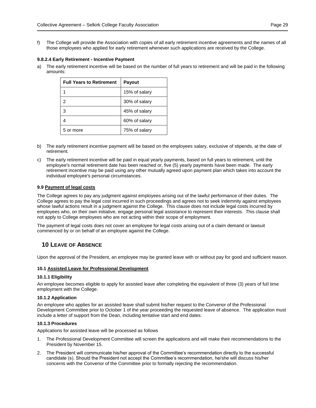f) The College will provide the Association with copies of all early retirement incentive agreements and the names of all those employees who applied for early retirement whenever such applications are received by the College.

# **9.8.2.4 Early Retirement - Incentive Payment**

a) The early retirement incentive will be based on the number of full years to retirement and will be paid in the following amounts:

| <b>Full Years to Retirement</b> | <b>Payout</b> |
|---------------------------------|---------------|
|                                 | 15% of salary |
| 2                               | 30% of salary |
| 3                               | 45% of salary |
| 4                               | 60% of salary |
| 5 or more                       | 75% of salary |

- b) The early retirement incentive payment will be based on the employees salary, exclusive of stipends, at the date of retirement.
- c) The early retirement incentive will be paid in equal yearly payments, based on full years to retirement, until the employee's normal retirement date has been reached or, five (5) yearly payments have been made. The early retirement incentive may be paid using any other mutually agreed upon payment plan which takes into account the individual employee's personal circumstances.

# <span id="page-28-0"></span>**9.9 Payment of legal costs**

The College agrees to pay any judgment against employees arising out of the lawful performance of their duties. The College agrees to pay the legal cost incurred in such proceedings and agrees not to seek indemnity against employees whose lawful actions result in a judgment against the College. This clause does not include legal costs incurred by employees who, on their own initiative, engage personal legal assistance to represent their interests. This clause shall not apply to College employees who are not acting within their scope of employment.

The payment of legal costs does not cover an employee for legal costs arising out of a claim demand or lawsuit commenced by or on behalf of an employee against the College.

# <span id="page-28-1"></span>**10 LEAVE OF ABSENCE**

Upon the approval of the President, an employee may be granted leave with or without pay for good and sufficient reason.

# <span id="page-28-2"></span>**10.1 Assisted Leave for Professional Development**

# **10.1.1 Eligibility**

An employee becomes eligible to apply for assisted leave after completing the equivalent of three (3) years of full time employment with the College.

# **10.1.2 Application**

An employee who applies for an assisted leave shall submit his/her request to the Convenor of the Professional Development Committee prior to October 1 of the year proceeding the requested leave of absence. The application must include a letter of support from the Dean, including tentative start and end dates.

# **10.1.3 Procedures**

Applications for assisted leave will be processed as follows

- 1. The Professional Development Committee will screen the applications and will make their recommendations to the President by November 15.
- 2. The President will communicate his/her approval of the Committee's recommendation directly to the successful candidate (s). Should the President not accept the Committee's recommendation, he/she will discuss his/her concerns with the Convenor of the Committee prior to formally rejecting the recommendation.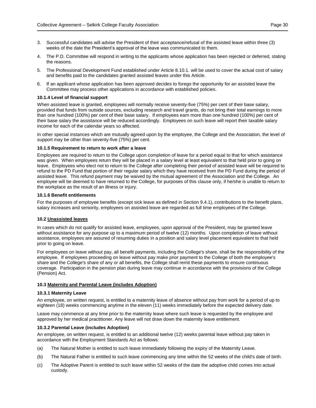- 3. Successful candidates will advise the President of their acceptance/refusal of the assisted leave within three (3) weeks of the date the President's approval of the leave was communicated to them.
- 4. The P.D. Committee will respond in writing to the applicants whose application has been rejected or deferred, stating the reasons.
- 5. The Professional Development Fund established under Article 8.10.1. will be used to cover the actual cost of salary and benefits paid to the candidates granted assisted leaves under this Article.
- 6. If an applicant whose application has been approved decides to forego the opportunity for an assisted leave the Committee may process other applications in accordance with established policies.

#### **10.1.4 Level of financial support**

When assisted leave is granted, employees will normally receive seventy-five (75%) per cent of their base salary, provided that funds from outside sources, excluding research and travel grants, do not bring their total earnings to more than one hundred (100%) per cent of their base salary. If employees earn more than one hundred (100%) per cent of their base salary the assistance will be reduced accordingly. Employees on such leave will report their taxable salary income for each of the calendar years so affected.

In other special instances which are mutually agreed upon by the employee, the College and the Association, the level of support may be other than seventy-five (75%) per cent.

#### **10.1.5 Requirement to return to work after a leave**

Employees are required to return to the College upon completion of leave for a period equal to that for which assistance was given. When employees return they will be placed in a salary level at least equivalent to that held prior to going on leave. Employees who elect not to return to the College after completing their period of assisted leave will be required to refund to the PD Fund that portion of their regular salary which they have received from the PD Fund during the period of assisted leave. This refund payment may be waived by the mutual agreement of the Association and the College. An employee will be deemed to have returned to the College, for purposes of this clause only, if he/she is unable to return to the workplace as the result of an illness or injury.

#### **10.1.6 Benefit entitlements**

For the purposes of employee benefits (except sick leave as defined in Section 9.4.1), contributions to the benefit plans, salary increases and seniority, employees on assisted leave are regarded as full time employees of the College.

#### <span id="page-29-0"></span>**10.2 Unassisted leaves**

In cases which do not qualify for assisted leave, employees, upon approval of the President, may be granted leave without assistance for any purpose up to a maximum period of twelve (12) months. Upon completion of leave without assistance, employees are assured of resuming duties in a position and salary level placement equivalent to that held prior to going on leave.

For employees on leave without pay, all benefit payments, including the College's share, shall be the responsibility of the employee. If employees proceeding on leave without pay make prior payment to the College of both the employee's share and the College's share of any or all benefits, the College shall remit these payments to ensure continuous coverage. Participation in the pension plan during leave may continue in accordance with the provisions of the College (Pension) Act.

#### <span id="page-29-1"></span>**10.3 Maternity and Parental Leave (includes Adoption)**

#### **10.3.1 Maternity Leave**

An employee, on written request, is entitled to a maternity leave of absence without pay from work for a period of up to eighteen (18) weeks commencing anytime in the eleven (11) weeks immediately before the expected delivery date.

Leave may commence at any time prior to the maternity leave where such leave is requested by the employee and approved by her medical practitioner. Any leave will not draw down the maternity leave entitlement.

#### **10.3.2 Parental Leave (includes Adoption)**

An employee, on written request, is entitled to an additional twelve (12) weeks parental leave without pay taken in accordance with the Employment Standards Act as follows:

- (a) The Natural Mother is entitled to such leave immediately following the expiry of the Maternity Leave.
- (b) The Natural Father is entitled to such leave commencing any time within the 52 weeks of the child's date of birth.
- (c) The Adoptive Parent is entitled to such leave within 52 weeks of the date the adoptive child comes into actual custody.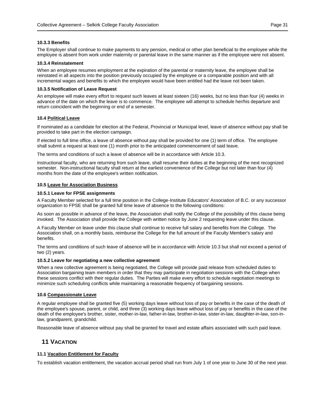### **10.3.3 Benefits**

The Employer shall continue to make payments to any pension, medical or other plan beneficial to the employee while the employee is absent from work under maternity or parental leave in the same manner as if the employee were not absent.

#### **10.3.4 Reinstatement**

When an employee resumes employment at the expiration of the parental or maternity leave, the employee shall be reinstated in all aspects into the position previously occupied by the employee or a comparable position and with all incremental wages and benefits to which the employee would have been entitled had the leave not been taken.

#### **10.3.5 Notification of Leave Request**

An employee will make every effort to request such leaves at least sixteen (16) weeks, but no less than four (4) weeks in advance of the date on which the leave is to commence. The employee will attempt to schedule her/his departure and return coincident with the beginning or end of a semester.

#### <span id="page-30-0"></span>**10.4 Political Leave**

If nominated as a candidate for election at the Federal, Provincial or Municipal level, leave of absence without pay shall be provided to take part in the election campaign.

If elected to full time office, a leave of absence without pay shall be provided for one (1) term of office. The employee shall submit a request at least one (1) month prior to the anticipated commencement of said leave.

The terms and conditions of such a leave of absence will be in accordance with Article 10.3.

Instructional faculty, who are returning from such leave, shall resume their duties at the beginning of the next recognized semester. Non-instructional faculty shall return at the earliest convenience of the College but not later than four (4) months from the date of the employee's written notification.

#### <span id="page-30-1"></span>**10.5 Leave for Association Business**

#### **10.5.1 Leave for FPSE assignments**

A Faculty Member selected for a full time position in the College-Institute Educators' Association of B.C. or any successor organization to FPSE shall be granted full time leave of absence to the following conditions:

As soon as possible in advance of the leave, the Association shall notify the College of the possibility of this clause being invoked. The Association shall provide the College with written notice by June 2 requesting leave under this clause.

A Faculty Member on leave under this clause shall continue to receive full salary and benefits from the College. The Association shall, on a monthly basis, reimburse the College for the full amount of the Faculty Member's salary and benefits.

The terms and conditions of such leave of absence will be in accordance with Article 10.3 but shall not exceed a period of two (2) years.

#### **10.5.2 Leave for negotiating a new collective agreement**

When a new collective agreement is being negotiated, the College will provide paid release from scheduled duties to Association bargaining team members in order that they may participate in negotiation sessions with the College when these sessions conflict with their regular duties. The Parties will make every effort to schedule negotiation meetings to minimize such scheduling conflicts while maintaining a reasonable frequency of bargaining sessions.

#### <span id="page-30-2"></span>**10.6 Compassionate Leave**

A regular employee shall be granted five (5) working days leave without loss of pay or benefits in the case of the death of the employee's spouse, parent, or child, and three (3) working days leave without loss of pay or benefits in the case of the death of the employee's brother, sister, mother-in-law, father-in-law, brother-in-law, sister-in-law, daughter-in-law, son-inlaw, grandparent, grandchild.

<span id="page-30-3"></span>Reasonable leave of absence without pay shall be granted for travel and estate affairs associated with such paid leave.

# **11 VACATION**

### <span id="page-30-4"></span>**11.1 Vacation Entitlement for Faculty**

To establish vacation entitlement, the vacation accrual period shall run from July 1 of one year to June 30 of the next year.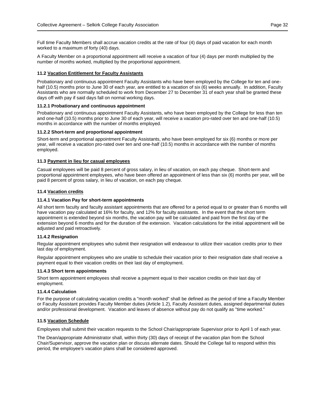Full time Faculty Members shall accrue vacation credits at the rate of four (4) days of paid vacation for each month worked to a maximum of forty (40) days.

A Faculty Member on a proportional appointment will receive a vacation of four (4) days per month multiplied by the number of months worked, multiplied by the proportional appointment.

# <span id="page-31-0"></span>**11.2 Vacation Entitlement for Faculty Assistants**

Probationary and continuous appointment Faculty Assistants who have been employed by the College for ten and onehalf (10.5) months prior to June 30 of each year, are entitled to a vacation of six (6) weeks annually. In addition, Faculty Assistants who are normally scheduled to work from December 27 to December 31 of each year shall be granted these days off with pay if said days fall on normal working days.

#### **11.2.1 Probationary and continuous appointment**

Probationary and continuous appointment Faculty Assistants, who have been employed by the College for less than ten and one-half (10.5) months prior to June 30 of each year, will receive a vacation pro-rated over ten and one-half (10.5) months in accordance with the number of months employed.

#### **11.2.2 Short-term and proportional appointment**

Short-term and proportional appointment Faculty Assistants, who have been employed for six (6) months or more per year, will receive a vacation pro-rated over ten and one-half (10.5) months in accordance with the number of months employed.

#### <span id="page-31-1"></span>**11.3 Payment in lieu for casual employees**

Casual employees will be paid 8 percent of gross salary, in lieu of vacation, on each pay cheque. Short-term and proportional appointment employees, who have been offered an appointment of less than six (6) months per year, will be paid 8 percent of gross salary, in lieu of vacation, on each pay cheque.

#### <span id="page-31-2"></span>**11.4 Vacation credits**

#### **11.4.1 Vacation Pay for short-term appointments**

All short term faculty and faculty assistant appointments that are offered for a period equal to or greater than 6 months will have vacation pay calculated at 16% for faculty, and 12% for faculty assistants. In the event that the short term appointment is extended beyond six months, the vacation pay will be calculated and paid from the first day of the extension beyond 6 months and for the duration of the extension. Vacation calculations for the initial appointment will be adjusted and paid retroactively.

#### **11.4.2 Resignation**

Regular appointment employees who submit their resignation will endeavour to utilize their vacation credits prior to their last day of employment.

Regular appointment employees who are unable to schedule their vacation prior to their resignation date shall receive a payment equal to their vacation credits on their last day of employment.

#### **11.4.3 Short term appointments**

Short term appointment employees shall receive a payment equal to their vacation credits on their last day of employment.

#### **11.4.4 Calculation**

For the purpose of calculating vacation credits a "month worked" shall be defined as the period of time a Faculty Member or Faculty Assistant provides Faculty Member duties (Article 1.2), Faculty Assistant duties, assigned departmental duties and/or professional development. Vacation and leaves of absence without pay do not qualify as "time worked."

# <span id="page-31-3"></span>**11.5 Vacation Schedule**

Employees shall submit their vacation requests to the School Chair/appropriate Supervisor prior to April 1 of each year.

The Dean/appropriate Administrator shall, within thirty (30) days of receipt of the vacation plan from the School Chair/Supervisor, approve the vacation plan or discuss alternate dates. Should the College fail to respond within this period, the employee's vacation plans shall be considered approved.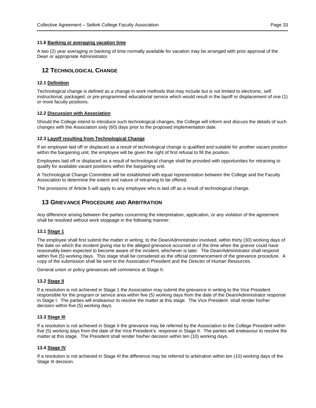#### <span id="page-32-0"></span>**11.6 Banking or averaging vacation time**

A two (2) year averaging or banking of time normally available for vacation may be arranged with prior approval of the Dean or appropriate Administrator.

# <span id="page-32-1"></span>**12 TECHNOLOGICAL CHANGE**

### <span id="page-32-2"></span>**12.1 Definition**

Technological change is defined as a change in work methods that may include but is not limited to electronic, self instructional, packaged, or pre-programmed educational service which would result in the layoff or displacement of one (1) or more faculty positions.

### <span id="page-32-3"></span>**12.2 Discussion with Association**

Should the College intend to introduce such technological changes, the College will inform and discuss the details of such changes with the Association sixty (60) days prior to the proposed implementation date.

#### <span id="page-32-4"></span>**12.3 Layoff resulting from Technological Change**

If an employee laid off or displaced as a result of technological change is qualified and suitable for another vacant position within the bargaining unit, the employee will be given the right of first refusal to fill the position.

Employees laid off or displaced as a result of technological change shall be provided with opportunities for retraining to qualify for available vacant positions within the bargaining unit.

A Technological Change Committee will be established with equal representation between the College and the Faculty Association to determine the extent and nature of retraining to be offered.

<span id="page-32-5"></span>The provisions of Article 5 will apply to any employee who is laid off as a result of technological change.

# **13 GRIEVANCE PROCEDURE AND ARBITRATION**

Any difference arising between the parties concerning the interpretation, application, or any violation of the agreement shall be resolved without work stoppage in the following manner:

#### <span id="page-32-6"></span>**13.1 Stage 1**

The employee shall first submit the matter in writing, to the Dean/Administrator involved, within thirty (30) working days of the date on which the incident giving rise to the alleged grievance occurred or of the time when the grievor could have reasonably been expected to become aware of the incident, whichever is later. The Dean/Administrator shall respond within five (5) working days. This stage shall be considered as the official commencement of the grievance procedure. A copy of the submission shall be sent to the Association President and the Director of Human Resources.

General union or policy grievances will commence at Stage II.

#### <span id="page-32-7"></span>**13.2 Stage II**

If a resolution is not achieved in Stage 1 the Association may submit the grievance in writing to the Vice President responsible for the program or service area within five (5) working days from the date of the Dean/Administrator response in Stage I. The parties will endeavour to resolve the matter at this stage. The Vice President shall render his/her decision within five (5) working days.

#### <span id="page-32-8"></span>**13.3 Stage III**

If a resolution is not achieved in Stage II the grievance may be referred by the Association to the College President within five (5) working days from the date of the Vice President's response in Stage II. The parties will endeavour to resolve the matter at this stage. The President shall render his/her decision within ten (10) working days.

#### <span id="page-32-9"></span>**13.4 Stage IV**

If a resolution is not achieved in Stage III the difference may be referred to arbitration within ten (10) working days of the Stage III decision.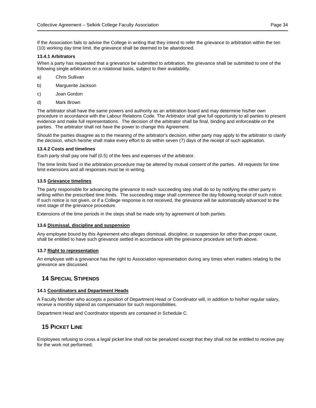If the Association fails to advise the College in writing that they intend to refer the grievance to arbitration within the ten (10) working day time limit, the grievance shall be deemed to be abandoned.

### **13.4.1 Arbitrators**

When a party has requested that a grievance be submitted to arbitration, the grievance shall be submitted to one of the following single arbitrators on a rotational basis, subject to their availability.

- a) Chris Sullivan
- b) Marguerite Jackson
- c) Joan Gordon
- d) Mark Brown

The arbitrator shall have the same powers and authority as an arbitration board and may determine his/her own procedure in accordance with the Labour Relations Code. The Arbitrator shall give full opportunity to all parties to present evidence and make full representations. The decision of the arbitrator shall be final, binding and enforceable on the parties. The arbitrator shall not have the power to change this Agreement.

Should the parties disagree as to the meaning of the arbitrator's decision, either party may apply to the arbitrator to clarify the decision, which he/she shall make every effort to do within seven (7) days of the receipt of such application.

# **13.4.2 Costs and timelines**

Each party shall pay one half (0.5) of the fees and expenses of the arbitrator.

The time limits fixed in the arbitration procedure may be altered by mutual consent of the parties. All requests for time limit extensions and all responses must be in writing.

# <span id="page-33-0"></span>**13.5 Grievance timelines**

The party responsible for advancing the grievance to each succeeding step shall do so by notifying the other party in writing within the prescribed time limits. The succeeding stage shall commence the day following receipt of such notice. If such notice is not given, or if a College response is not received, the grievance will be automatically advanced to the next stage of the grievance procedure.

Extensions of the time periods in the steps shall be made only by agreement of both parties.

# <span id="page-33-1"></span>**13.6 Dismissal, discipline and suspension**

Any employee bound by this Agreement who alleges dismissal, discipline, or suspension for other than proper cause, shall be entitled to have such grievance settled in accordance with the grievance procedure set forth above.

# <span id="page-33-2"></span>**13.7 Right to representation**

An employee with a grievance has the right to Association representation during any times when matters relating to the grievance are discussed.

# <span id="page-33-3"></span>**14 SPECIAL STIPENDS**

# <span id="page-33-4"></span>**14.1 Coordinators and Department Heads**

A Faculty Member who accepts a position of Department Head or Coordinator will, in addition to his/her regular salary, receive a monthly stipend as compensation for such responsibilities.

<span id="page-33-5"></span>Department Head and Coordinator stipends are contained in Schedule C.

# **15 PICKET LINE**

Employees refusing to cross a legal picket line shall not be penalized except that they shall not be entitled to receive pay for the work not performed.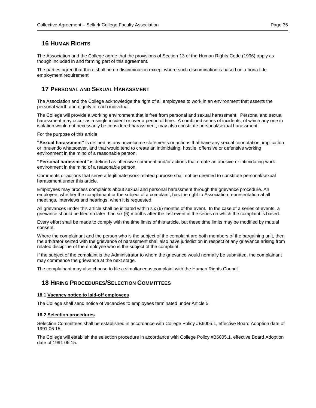# <span id="page-34-0"></span>**16 HUMAN RIGHTS**

The Association and the College agree that the provisions of Section 13 of the Human Rights Code (1996) apply as though included in and forming part of this agreement.

The parties agree that there shall be no discrimination except where such discrimination is based on a bona fide employment requirement.

# <span id="page-34-1"></span>**17 PERSONAL AND SEXUAL HARASSMENT**

The Association and the College acknowledge the right of all employees to work in an environment that asserts the personal worth and dignity of each individual.

The College will provide a working environment that is free from personal and sexual harassment. Personal and sexual harassment may occur as a single incident or over a period of time. A combined series of incidents, of which any one in isolation would not necessarily be considered harassment, may also constitute personal/sexual harassment.

For the purpose of this article

**"Sexual harassment"** is defined as any unwelcome statements or actions that have any sexual connotation, implication or innuendo whatsoever, and that would tend to create an intimidating, hostile, offensive or defensive working environment in the mind of a reasonable person.

**"Personal harassment"** is defined as offensive comment and/or actions that create an abusive or intimidating work environment in the mind of a reasonable person.

Comments or actions that serve a legitimate work-related purpose shall not be deemed to constitute personal/sexual harassment under this article.

Employees may process complaints about sexual and personal harassment through the grievance procedure. An employee, whether the complainant or the subject of a complaint, has the right to Association representation at all meetings, interviews and hearings, when it is requested.

All grievances under this article shall be initiated within six (6) months of the event. In the case of a series of events, a grievance should be filed no later than six (6) months after the last event in the series on which the complaint is based.

Every effort shall be made to comply with the time limits of this article, but these time limits may be modified by mutual consent.

Where the complainant and the person who is the subject of the complaint are both members of the bargaining unit, then the arbitrator seized with the grievance of harassment shall also have jurisdiction in respect of any grievance arising from related discipline of the employee who is the subject of the complaint.

If the subject of the complaint is the Administrator to whom the grievance would normally be submitted, the complainant may commence the grievance at the next stage.

The complainant may also choose to file a simultaneous complaint with the Human Rights Council.

# <span id="page-34-2"></span>**18 HIRING PROCEDURES/SELECTION COMMITTEES**

# <span id="page-34-3"></span>**18.1 Vacancy notice to laid-off employees**

The College shall send notice of vacancies to employees terminated under Article 5.

# <span id="page-34-4"></span>**18.2 Selection procedures**

Selection Committees shall be established in accordance with College Policy #B6005.1, effective Board Adoption date of 1991 06 15.

The College will establish the selection procedure in accordance with College Policy #B6005.1, effective Board Adoption date of 1991 06 15.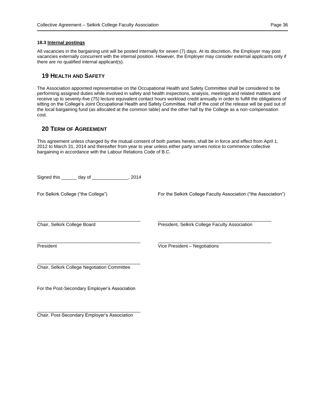### <span id="page-35-0"></span>**18.3 Internal postings**

All vacancies in the bargaining unit will be posted internally for seven (7) days. At its discretion, the Employer may post vacancies externally concurrent with the internal position. However, the Employer may consider external applicants only if there are no qualified internal applicant(s).

# <span id="page-35-1"></span>**19 HEALTH AND SAFETY**

The Association appointed representative on the Occupational Health and Safety Committee shall be considered to be performing assigned duties while involved in safety and health inspections, analysis, meetings and related matters and receive up to seventy-five (75) lecture equivalent contact hours workload credit annually in order to fulfill the obligations of sitting on the College's Joint Occupational Health and Safety Committee. Half of the cost of the release will be paid out of the local bargaining fund (as allocated at the common table) and the other half by the College as a non-compensation cost.

# <span id="page-35-2"></span>**20 TERM OF AGREEMENT**

This agreement unless changed by the mutual consent of both parties hereto, shall be in force and effect from April 1, 2012 to March 31, 2014 and thereafter from year to year unless either party serves notice to commence collective bargaining in accordance with the Labour Relations Code of B.C.

| Signed this _______ day of _______________, 2014 |                                                                 |
|--------------------------------------------------|-----------------------------------------------------------------|
| For Selkirk College ("the College")              | For the Selkirk College Faculty Association ("the Association") |
| Chair, Selkirk College Board                     | President, Selkirk College Faculty Association                  |
| President                                        | Vice President - Negotiations                                   |
| Chair, Selkirk College Negotiation Committee     |                                                                 |
| For the Post-Secondary Employer's Association    |                                                                 |

\_\_\_\_\_\_\_\_\_\_\_\_\_\_\_\_\_\_\_\_\_\_\_\_\_\_\_\_\_\_\_\_\_\_\_\_\_\_\_\_ Chair, Post-Secondary Employer's Association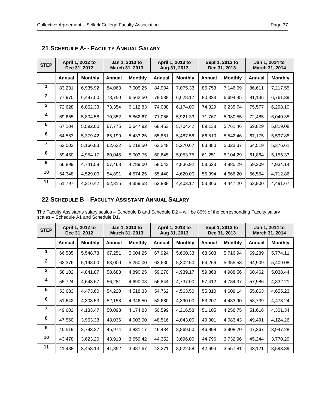| <b>STEP</b>    | April 1, 2012 to<br>Dec 31, 2012 |                |        | Jan 1, 2013 to<br>March 31, 2013 | April 1, 2013 to<br>Aug 31, 2013 |                | Sept 1, 2013 to<br>Dec 31, 2013 |                | Jan 1, 2014 to<br>March 31, 2014 |                |
|----------------|----------------------------------|----------------|--------|----------------------------------|----------------------------------|----------------|---------------------------------|----------------|----------------------------------|----------------|
|                | Annual                           | <b>Monthly</b> | Annual | <b>Monthly</b>                   | Annual                           | <b>Monthly</b> | Annual                          | <b>Monthly</b> | Annual                           | <b>Monthly</b> |
| 1              | 83,231                           | 6,935.92       | 84,063 | 7,005.25                         | 84,904                           | 7,075.33       | 85,753                          | 7,146.09       | 86,611                           | 7,217.55       |
| $\mathbf{2}$   | 77,970                           | 6,497.50       | 78,750 | 6,562.50                         | 79,538                           | 6,628.17       | 80,333                          | 6,694.45       | 81,136                           | 6,761.39       |
| 3              | 72,628                           | 6,052.33       | 73,354 | 6,112.83                         | 74,088                           | 6,174.00       | 74,829                          | 6,235.74       | 75,577                           | 6,298.10       |
| 4              | 69,655                           | 5,804.58       | 70,352 | 5,862.67                         | 71,056                           | 5,921.33       | 71,767                          | 5,980.55       | 72,485                           | 6,040.35       |
| 5              | 67,104                           | 5,592.00       | 67,775 | 5,647.92                         | 68,453                           | 5,704.42       | 69,138                          | 5,761.46       | 69,829                           | 5,819.08       |
| 6              | 64,553                           | 5,379.42       | 65,199 | 5,433.25                         | 65,851                           | 5,487.58       | 66,510                          | 5,542.46       | 67,175                           | 5,597.88       |
| $\overline{7}$ | 62,002                           | 5,166.83       | 62,622 | 5,218.50                         | 63,248                           | 5,270.67       | 63,880                          | 5,323.37       | 64,519                           | 5,376.61       |
| 8              | 59,450                           | 4,954.17       | 60,045 | 5,003.75                         | 60,645                           | 5,053.75       | 61,251                          | 5,104.29       | 61,864                           | 5,155.33       |
| 9              | 56,899                           | 4,741.58       | 57,468 | 4,789.00                         | 58,043                           | 4,836.92       | 58,623                          | 4,885.29       | 59,209                           | 4,934.14       |
| 10             | 54,348                           | 4,529.00       | 54,891 | 4,574.25                         | 55,440                           | 4,620.00       | 55,994                          | 4,666.20       | 56,554                           | 4,712.86       |
| 11             | 51,797                           | 4,316.42       | 52,315 | 4,359.58                         | 52,838                           | 4,403.17       | 53,366                          | 4,447.20       | 53,900                           | 4,491.67       |

<span id="page-36-0"></span>**21 SCHEDULE A- - FACULTY ANNUAL SALARY**

# <span id="page-36-1"></span>**22 SCHEDULE B – FACULTY ASSISTANT ANNUAL SALARY**

The Faculty Assistants salary scales – Schedule B and Schedule D2 – will be 80% of the corresponding Faculty salary scales – Schedule A1 and Schedule D1.

| <b>STEP</b>    | April 1, 2012 to<br>Dec 31, 2012 |                |        | Jan 1, 2013 to<br>March 31, 2013 |        | April 1, 2013 to<br>Aug 31, 2013 |        | Sept 1, 2013 to<br>Dec 31, 2013 |        | Jan 1, 2014 to<br>March 31, 2014 |  |
|----------------|----------------------------------|----------------|--------|----------------------------------|--------|----------------------------------|--------|---------------------------------|--------|----------------------------------|--|
|                | Annual                           | <b>Monthly</b> | Annual | <b>Monthly</b>                   | Annual | <b>Monthly</b>                   | Annual | <b>Monthly</b>                  | Annual | <b>Monthly</b>                   |  |
| 1              | 66,585                           | 5,548.73       | 67,251 | 5,604.25                         | 67,924 | 5,660.33                         | 68,603 | 5,716.94                        | 69,289 | 5,774.11                         |  |
| $\mathbf{2}$   | 62,376                           | 5,198.00       | 63,000 | 5,250.00                         | 63,630 | 5,302.50                         | 64,266 | 5,355.53                        | 64,909 | 5,409.08                         |  |
| 3              | 58,102                           | 4,841.87       | 58,683 | 4,890.25                         | 59,270 | 4,939.17                         | 59,863 | 4,988.56                        | 60,462 | 5,038.44                         |  |
| 4              | 55,724                           | 4,643.67       | 56,281 | 4,690.08                         | 56,844 | 4,737.00                         | 57,412 | 4,784.37                        | 57,986 | 4,832.21                         |  |
| 5              | 53,683                           | 4,473.60       | 54,220 | 4,518.33                         | 54,762 | 4,563.50                         | 55,310 | 4,609.14                        | 55,863 | 4,655.23                         |  |
| 6              | 51,642                           | 4,303.53       | 52,158 | 4,346.50                         | 52,680 | 4,390.00                         | 53,207 | 4,433.90                        | 53,739 | 4,478.24                         |  |
| $\overline{7}$ | 49,602                           | 4,133.47       | 50,098 | 4,174.83                         | 50,599 | 4,216.58                         | 51,105 | 4,258.75                        | 51,616 | 4,301.34                         |  |
| 8              | 47,560                           | 3,963.33       | 48,036 | 4,003.00                         | 48,516 | 4,043.00                         | 49,001 | 4,083.43                        | 49,491 | 4,124.26                         |  |
| 9              | 45,519                           | 3,793.27       | 45,974 | 3,831.17                         | 46,434 | 3,869.50                         | 46,898 | 3,908.20                        | 47,367 | 3,947.28                         |  |
| 10             | 43,478                           | 3,623.20       | 43,913 | 3,659.42                         | 44,352 | 3,696.00                         | 44,796 | 3,732.96                        | 45,244 | 3,770.29                         |  |
| 11             | 41,438                           | 3,453.13       | 41,852 | 3,487.67                         | 42,271 | 3,522.58                         | 42,694 | 3,557.81                        | 43,121 | 3,593.39                         |  |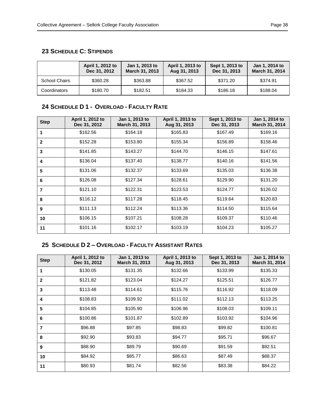# <span id="page-37-0"></span>**23 SCHEDULE C: STIPENDS**

|                      | April 1, 2012 to<br>Dec 31, 2012 | Jan 1, 2013 to<br><b>March 31, 2013</b> | April 1, 2013 to<br>Aug 31, 2013 | Sept 1, 2013 to<br>Dec 31, 2013 | Jan 1, 2014 to<br><b>March 31, 2014</b> |
|----------------------|----------------------------------|-----------------------------------------|----------------------------------|---------------------------------|-----------------------------------------|
| <b>School Chairs</b> | \$360.28                         | \$363.88                                | \$367.52                         | \$371.20                        | \$374.91                                |
| Coordinators         | \$180.70                         | \$182.51                                | \$184.33                         | \$186.18                        | \$188.04                                |

# <span id="page-37-1"></span>**24 SCHEDULE D 1 - OVERLOAD - FACULTY RATE**

| <b>Step</b>    | April 1, 2012 to<br>Dec 31, 2012 | Jan 1, 2013 to<br>March 31, 2013 | April 1, 2013 to<br>Aug 31, 2013 | Sept 1, 2013 to<br>Dec 31, 2013 | Jan 1, 2014 to<br>March 31, 2014 |
|----------------|----------------------------------|----------------------------------|----------------------------------|---------------------------------|----------------------------------|
| 1              | \$162.56                         | \$164.18                         | \$165.83                         | \$167.49                        | \$169.16                         |
| $\mathbf{2}$   | \$152.28                         | \$153.80                         | \$155.34                         | \$156.89                        | \$158.46                         |
| 3              | \$141.85                         | \$143.27                         | \$144.70                         | \$146.15                        | \$147.61                         |
| 4              | \$136.04                         | \$137.40                         | \$138.77                         | \$140.16                        | \$141.56                         |
| 5              | \$131.06                         | \$132.37                         | \$133.69                         | \$135.03                        | \$136.38                         |
| 6              | \$126.08                         | \$127.34                         | \$128.61                         | \$129.90                        | \$131.20                         |
| $\overline{7}$ | \$121.10                         | \$122.31                         | \$123.53                         | \$124.77                        | \$126.02                         |
| 8              | \$116.12                         | \$117.28                         | \$118.45                         | \$119.64                        | \$120.83                         |
| 9              | \$111.13                         | \$112.24                         | \$113.36                         | \$114.50                        | \$115.64                         |
| 10             | \$106.15                         | \$107.21                         | \$108.28                         | \$109.37                        | \$110.46                         |
| 11             | \$101.16                         | \$102.17                         | \$103.19                         | \$104.23                        | \$105.27                         |

# <span id="page-37-2"></span>**25 SCHEDULE D 2 – OVERLOAD - FACULTY ASSISTANT RATES**

| <b>Step</b>  | April 1, 2012 to<br>Dec 31, 2012 | Jan 1, 2013 to<br>March 31, 2013 | April 1, 2013 to<br>Aug 31, 2013 | Sept 1, 2013 to<br>Dec 31, 2013 | Jan 1, 2014 to<br>March 31, 2014 |
|--------------|----------------------------------|----------------------------------|----------------------------------|---------------------------------|----------------------------------|
| 1            | \$130.05                         | \$131.35                         | \$132.66                         | \$133.99                        | \$135.33                         |
| $\mathbf{2}$ | \$121.82                         | \$123.04                         | \$124.27                         | \$125.51                        | \$126.77                         |
| 3            | \$113.48                         | \$114.61                         | \$115.76                         | \$116.92                        | \$118.09                         |
| 4            | \$108.83                         | \$109.92                         | \$111.02                         | \$112.13                        | \$113.25                         |
| 5            | \$104.85                         | \$105.90                         | \$106.96                         | \$108.03                        | \$109.11                         |
| 6            | \$100.86                         | \$101.87                         | \$102.89                         | \$103.92                        | \$104.96                         |
| 7            | \$96.88                          | \$97.85                          | \$98.83                          | \$99.82                         | \$100.81                         |
| 8            | \$92.90                          | \$93.83                          | \$94.77                          | \$95.71                         | \$96.67                          |
| 9            | \$88.90                          | \$89.79                          | \$90.69                          | \$91.59                         | \$92.51                          |
| 10           | \$84.92                          | \$85.77                          | \$86.63                          | \$87.49                         | \$88.37                          |
| 11           | \$80.93                          | \$81.74                          | \$82.56                          | \$83.38                         | \$84.22                          |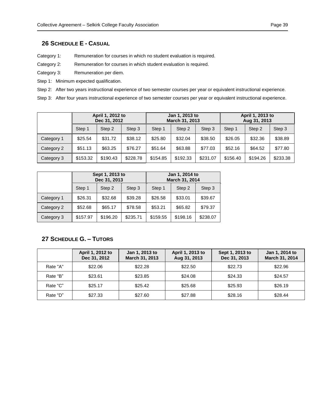# <span id="page-38-0"></span>**26 SCHEDULE E - CASUAL**

Category 1: Remuneration for courses in which no student evaluation is required.

Category 2: Remuneration for courses in which student evaluation is required.

Category 3: Remuneration per diem.

Step 1: Minimum expected qualification.

Step 2: After two years instructional experience of two semester courses per year or equivalent instructional experience.

Step 3: After four years instructional experience of two semester courses per year or equivalent instructional experience.

|            | April 1, 2012 to<br>Dec 31, 2012 |          | Jan 1, 2013 to<br>March 31, 2013 |          | April 1, 2013 to<br>Aug 31, 2013 |          |          |          |          |
|------------|----------------------------------|----------|----------------------------------|----------|----------------------------------|----------|----------|----------|----------|
|            | Step 1                           | Step 2   | Step 3                           | Step 1   | Step 2                           | Step 3   | Step 1   | Step 2   | Step 3   |
| Category 1 | \$25.54                          | \$31.72  | \$38.12                          | \$25.80  | \$32.04                          | \$38.50  | \$26.05  | \$32.36  | \$38.89  |
| Category 2 | \$51.13                          | \$63.25  | \$76.27                          | \$51.64  | \$63.88                          | \$77.03  | \$52.16  | \$64.52  | \$77.80  |
| Category 3 | \$153.32                         | \$190.43 | \$228.78                         | \$154.85 | \$192.33                         | \$231.07 | \$156.40 | \$194.26 | \$233.38 |

|            | Sept 1, 2013 to<br>Dec 31, 2013 |          |          | Jan 1, 2014 to<br>March 31, 2014 |          |          |
|------------|---------------------------------|----------|----------|----------------------------------|----------|----------|
|            | Step 1                          | Step 2   | Step 3   | Step 1                           | Step 2   | Step 3   |
| Category 1 | \$26.31                         | \$32.68  | \$39.28  | \$26.58                          | \$33.01  | \$39.67  |
| Category 2 | \$52.68                         | \$65.17  | \$78.58  | \$53.21                          | \$65.82  | \$79.37  |
| Category 3 | \$157.97                        | \$196.20 | \$235.71 | \$159.55                         | \$198.16 | \$238.07 |

# <span id="page-38-1"></span>**27 SCHEDULE G. – TUTORS**

|          | April 1, 2012 to<br>Dec 31, 2012 | Jan 1, 2013 to<br>March 31, 2013 | April 1, 2013 to<br>Aug 31, 2013 | Sept 1, 2013 to<br>Dec 31, 2013 | Jan 1, 2014 to<br>March 31, 2014 |
|----------|----------------------------------|----------------------------------|----------------------------------|---------------------------------|----------------------------------|
| Rate "A" | \$22.06                          | \$22.28                          | \$22.50                          | \$22.73                         | \$22.96                          |
| Rate "B" | \$23.61                          | \$23.85                          | \$24.08                          | \$24.33                         | \$24.57                          |
| Rate "C" | \$25.17                          | \$25.42                          | \$25.68                          | \$25.93                         | \$26.19                          |
| Rate "D" | \$27.33                          | \$27.60                          | \$27.88                          | \$28.16                         | \$28.44                          |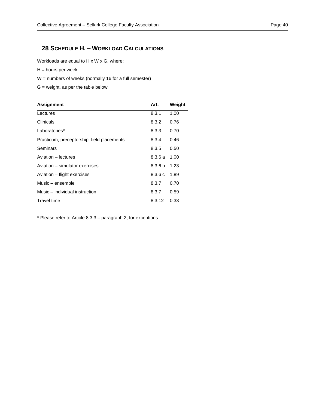# <span id="page-39-0"></span>**28 SCHEDULE H. – WORKLOAD CALCULATIONS**

Workloads are equal to H x W x G, where:

 $H =$  hours per week

W = numbers of weeks (normally 16 for a full semester)

 $G$  = weight, as per the table below

| <b>Assignment</b>                          | Art.               | Weight |
|--------------------------------------------|--------------------|--------|
| Lectures                                   | 8.3.1              | 1.00   |
| Clinicals                                  | 8.3.2              | 0.76   |
| Laboratories*                              | 8.3.3              | 0.70   |
| Practicum, preceptorship, field placements | 8.3.4              | 0.46   |
| Seminars                                   | 8.3.5              | 0.50   |
| Aviation - lectures                        | 8.3.6a             | 1.00   |
| Aviation – simulator exercises             | 8.3.6 <sub>b</sub> | 1.23   |
| Aviation – flight exercises                | 8.3.6c             | 1.89   |
| Music – ensemble                           | 8.3.7              | 0.70   |
| Music – individual instruction             | 8.3.7              | 0.59   |
| Travel time                                | 8.3.12             | 0.33   |

\* Please refer to Article 8.3.3 – paragraph 2, for exceptions.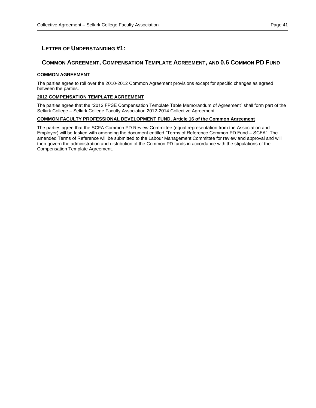# <span id="page-40-0"></span>**COMMON AGREEMENT, COMPENSATION TEMPLATE AGREEMENT, AND 0.6 COMMON PD FUND**

# **COMMON AGREEMENT**

The parties agree to roll over the 2010-2012 Common Agreement provisions except for specific changes as agreed between the parties.

# **2012 COMPENSATION TEMPLATE AGREEMENT**

The parties agree that the "2012 FPSE Compensation Template Table Memorandum of Agreement" shall form part of the Selkirk College – Selkirk College Faculty Association 2012-2014 Collective Agreement.

# **COMMON FACULTY PROFESSIONAL DEVELOPMENT FUND, Article 16 of the Common Agreement**

The parties agree that the SCFA Common PD Review Committee (equal representation from the Association and Employer) will be tasked with amending the document entitled "Terms of Reference Common PD Fund – SCFA". The amended Terms of Reference will be submitted to the Labour Management Committee for review and approval and will then govern the administration and distribution of the Common PD funds in accordance with the stipulations of the Compensation Template Agreement.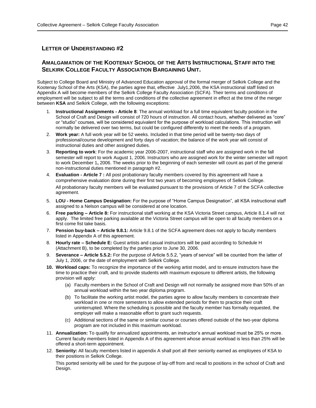# <span id="page-41-0"></span>**AMALGAMATION OF THE KOOTENAY SCHOOL OF THE ARTS INSTRUCTIONAL STAFF INTO THE SELKIRK COLLEGE FACULTY ASSOCIATION BARGAINING UNIT.**

Subject to College Board and Ministry of Advanced Education approval of the formal merger of Selkirk College and the Kootenay School of the Arts (KSA), the parties agree that, effective July1,2006, the KSA instructional staff listed on Appendix A will become members of the Selkirk College Faculty Association (SCFA). Their terms and conditions of employment will be subject to all the terms and conditions of the collective agreement in effect at the time of the merger between **KSA** and Selkirk College, with the following exceptions:

- 1. **Instructional Assignments - Article 8**: The annual workload for a full time equivalent faculty position in the School of Craft and Design will consist of 720 hours of instruction. All contact hours, whether delivered as "core" or "studio" courses, will be considered equivalent for the purpose of workload calculations. This instruction will normally be delivered over two terms, but could be configured differently to meet the needs of a program.
- 2. **Work year:** A full work year will be 52 weeks. Included in that time period will be twenty-two days of professional/course development and forty days of vacation; the balance of the work year will consist of instructional duties and other assigned duties.
- 3. **Reporting to work**: For the academic year 2006-2007, instructional staff who are assigned work in the fall semester will report to work August 1, 2006. Instructors who are assigned work for the winter semester will report to work December 1**,** 2006. The weeks prior to the beginning of each semester will count as part of the general non-instructional duties mentioned in paragraph #2.
- 4. **Evaluation - Article 7 :** All post probationary faculty members covered by this agreement will have a comprehensive evaluation done during their first two years of becoming employees of Selkirk College. All probationary faculty members will be evaluated pursuant to the provisions of Article 7 of the SCFA collective agreement.
- 5. **LOU - Home Campus Designation:** For the purpose of "Home Campus Designation", all KSA instructional staff assigned to a Nelson campus will be considered at one location.
- 6. **Free parking – Article 8:** For instructional staff working at the KSA Victoria Street campus, Article 8.1.4 will not apply. The limited free parking available at the Victoria Street campus will be open to all faculty members on a first come fist take basis.
- 7. **Pension buy-back – Article 9.8.1:** Article 9.8.1 of the SCFA agreement does not apply to faculty members listed in Appendix A of this agreement.
- 8. **Hourly rate – Schedule E:** Guest artists and casual instructors will be paid according to Schedule H (Attachment B), to be completed by the parties prior to June 30, 2006.
- 9. **Severance – Article 5.5.2:** For the purpose of Article 5.5.2, "years of service" will be counted from the latter of July 1, 2006, or the date of employment with Selkirk College.
- **10. Workload caps:** To recognize the importance of the working artist model, and to ensure instructors have the time to practice their craft, and to provide students with maximum exposure to different artists, the following provision will apply:
	- (a) Faculty members in the School of Craft and Design will not normally be assigned more than 50% of an annual workload within the two year diploma program.
	- (b) To facilitate the working artist model, the parties agree to allow faculty members to concentrate their workload in one or more semesters to allow extended periods for them to practice their craft uninterrupted. Where the scheduling is possible and the faculty member has formally requested, the employer will make a reasonable effort to grant such requests.
	- (c) Additional sections of the same or similar course or courses offered outside of the two-year diploma program are not included in this maximum workload.
- 11. **Annualization:** To qualify for annualized appointments, an instructor's annual workload must be 25% or more. Current faculty members listed in Appendix A of this agreement whose annual workload is less than 25% will be offered a short-term appointment.
- 12. **Seniority:** All faculty members listed in appendix A shall port all their seniority earned as employees of KSA to their positions in Selkirk College.

This ported seniority will be used for the purpose of lay-off from and recall to positions in the school of Craft and Design.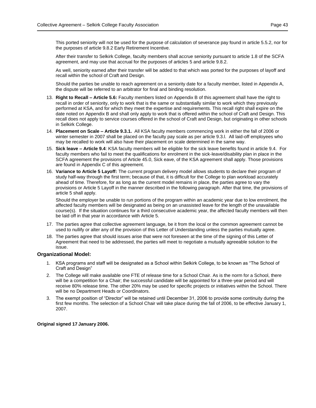This ported seniority will not be used for the purpose of calculation of severance pay found in article 5.5.2, nor for the purposes of article 9.8.2 Early Retirement Incentive.

After their transfer to Selkirk College, faculty members shall accrue seniority pursuant to article 1.8 of the SCFA agreement, and may use that accrual for the purposes of articles 5 and article 9.8.2.

As well, seniority earned after their transfer will be added to that which was ported for the purposes of layoff and recall within the school of Craft and Design.

Should the parties be unable to reach agreement on a seniority date for a faculty member, listed in Appendix A, the dispute will be referred to an arbitrator for final and binding resolution.

- 13. **Right to Recall – Article 5.6:** Faculty members listed on Appendix B of this agreement shall have the right to recall in order of seniority, only to work that is the same or substantially similar to work which they previously performed at KSA, and for which they meet the expertise and requirements. This recall right shall expire on the date noted on Appendix B and shall only apply to work that is offered within the school of Craft and Design. This recall does not apply to service courses offered in the school of Craft and Design, but originating in other schools in Selkirk College.
- 14. **Placement on Scale – Article 9.3.1.** All KSA faculty members commencing work in either the fall of 2006 or winter semester in 2007 shall be placed on the faculty pay scale as per article 9.3.l. All laid-off employees who may be recalled to work will also have their placement on scale determined in the same way.
- 15. **Sick leave – Article 9.4**: KSA faculty members will be eligible for the sick leave benefits found in article 9.4. For faculty members who fail to meet the qualifications for enrolment in the sick-leave/disability plan in place in the SCFA agreement the provisions of Article 45.0, Sick eave, of the KSA agreement shall apply. Those provisions are found in Appendix C of this agreement.
- 16. **Variance to Article 5 Layoff:** The current program delivery model allows students to declare their program of study half-way through the first term; because of that, it is difficult for the College to plan workload accurately ahead of time. Therefore, for as long as the current model remains in place, the parties agree to vary the provisions or Article 5 Layoff in the manner described in the following paragraph. After that time, the provisions of article 5 shall apply.

Should the employer be unable to run portions of the program within an academic year due to low enrolment, the affected faculty members will be designated as being on an unassisted leave for the length of the unavailable course(s). If the situation continues for a third consecutive academic year, the affected faculty members will then be laid off in that year in accordance with Article 5.

- 17. The parties agree that collective agreement language, be it from the local or the common agreement cannot be used to nullify or alter any of the provision of this Letter of Understanding unless the parties mutually agree.
- 18. The parties agree that should issues arise that were not foreseen at the time of the signing of this Letter of Agreement that need to be addressed, the parties will meet to negotiate a mutually agreeable solution to the issue.

# **Organizational Model:**

- 1. KSA programs and staff will be designated as a School within Selkirk College, to be known as "The School of Craft and Design"
- 2. The College will make available one FTE of release time for a School Chair. As is the norm for a School, there will be a competition for a Chair; the successful candidate will be appointed for a three-year period and will receive 80% release time. The other 20% may be used for specific projects or initiatives within the School. There will be no Department Heads or Coordinators.
- 3. The exempt position of "Director" will be retained until December 31, 2006 to provide some continuity during the first few months. The selection of a School Chair will take place during the fall of 2006, to be effective January 1, 2007.

**Original signed 17 January 2006.**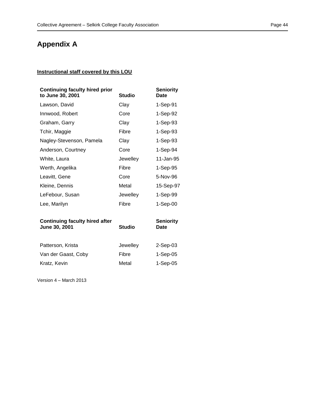# **Appendix A**

# **Instructional staff covered by this LOU**

| <b>Continuing faculty hired prior</b><br>to June 30, 2001 | <b>Studio</b> | <b>Seniority</b><br>Date |
|-----------------------------------------------------------|---------------|--------------------------|
| Lawson, David                                             | Clav          | 1-Sep-91                 |
| Innwood, Robert                                           | Core          | 1-Sep-92                 |
| Graham, Garry                                             | Clay          | 1-Sep-93                 |
| Tchir, Maggie                                             | Fibre         | 1-Sep-93                 |
| Nagley-Stevenson, Pamela                                  | Clav          | 1-Sep-93                 |
| Anderson, Courtney                                        | Core          | 1-Sep-94                 |
| White, Laura                                              | Jewelley      | 11-Jan-95                |
| Werth, Angelika                                           | Fibre         | 1-Sep-95                 |
| Leavitt, Gene                                             | Core          | 5-Nov-96                 |
| Kleine, Dennis                                            | Metal         | 15-Sep-97                |
| LeFebour, Susan                                           | Jewelley      | 1-Sep-99                 |
| Lee, Marilyn                                              | Fibre         | 1-Sep-00                 |

| <b>Continuing faculty hired after</b><br>June 30, 2001 | <b>Studio</b> | <b>Seniority</b><br>Date |
|--------------------------------------------------------|---------------|--------------------------|
| Patterson, Krista                                      | Jewelley      | $2-Sep-03$               |
| Van der Gaast, Coby                                    | Fibre         | $1-Sep-05$               |
| Kratz, Kevin                                           | Metal         | $1-Sep-05$               |

Version 4 – March 2013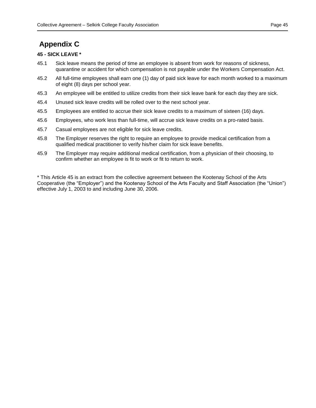# **Appendix C**

# **45 - SICK LEAVE \***

- 45.1 Sick leave means the period of time an employee is absent from work for reasons of sickness, quarantine or accident for which compensation is not payable under the Workers Compensation Act.
- 45.2 All full-time employees shall earn one (1) day of paid sick leave for each month worked to a maximum of eight (8) days per school year.
- 45.3 An employee will be entitled to utilize credits from their sick leave bank for each day they are sick.
- 45.4 Unused sick leave credits will be rolled over to the next school year.
- 45.5 Employees are entitled to accrue their sick leave credits to a maximum of sixteen (16) days.
- 45.6 Employees, who work less than full-time, will accrue sick leave credits on a pro-rated basis.
- 45.7 Casual employees are not eligible for sick leave credits.
- 45.8 The Employer reserves the right to require an employee to provide medical certification from a qualified medical practitioner to verify his/her claim for sick leave benefits.
- 45.9 The Employer may require additional medical certification, from a physician of their choosing, to confirm whether an employee is fit to work or fit to return to work.

\* This Article 45 is an extract from the collective agreement between the Kootenay School of the Arts Cooperative (the "Employer") and the Kootenay School of the Arts Faculty and Staff Association (the "Union") effective July 1, 2003 to and including June 30, 2006.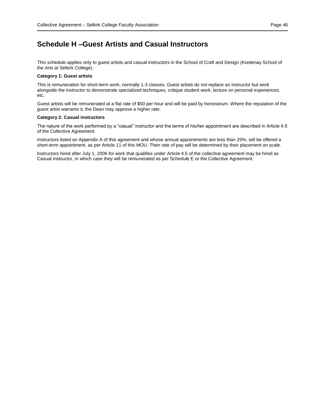# **Schedule H –Guest Artists and Casual Instructors**

This schedule applies only to guest artists and casual instructors in the School of Craft and Design (Kootenay School of the Arts at Selkirk College).

#### **Category 1: Guest artists**

This is remuneration for short-term work, normally 1-3 classes. Guest artists do not replace an instructor but work alongside the instructor to demonstrate specialized techniques, critique student work, lecture on personal experiences, etc.

Guest artists will be remunerated at a flat rate of \$50 per hour and will be paid by honorarium. Where the reputation of the guest artist warrants it, the Dean may approve a higher rate.

#### **Category 2: Casual instructors**

The nature of the work performed by a "casual" instructor and the terms of his/her appointment are described in Article 4.5 of the Collective Agreement.

Instructors listed on Appendix A of this agreement and whose annual appointments are less than 25%, will be offered a short-term appointment, as per Article 11 of this MOU. Their rate of pay will be determined by their placement on scale.

Instructors hired after July 1, 2006 for work that qualifies under Article 4.5 of the collective agreement may be hired as Casual Instructor, in which case they will be remunerated as per Schedule E or the Collective Agreement.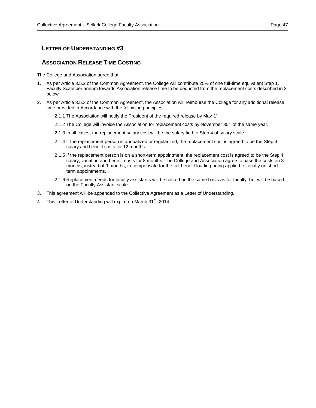# <span id="page-46-0"></span>**ASSOCIATION RELEASE TIME COSTING**

The College and Association agree that:

- 1. As per Article 3.5.2 of the Common Agreement, the College will contribute 25% of one full-time equivalent Step 1, Faculty Scale per annum towards Association release time to be deducted from the replacement costs described in 2 below.
- 2. As per Article 3.5.3 of the Common Agreement, the Association will reimburse the College for any additional release time provided in Accordance with the following principles:
	- 2.1.1 The Association will notify the President of the required release by May 1<sup>st</sup>.
	- 2.1.2 The College will invoice the Association for replacement costs by November 30<sup>th</sup> of the same year.
	- 2.1.3 In all cases, the replacement salary cost will be the salary tied to Step 4 of salary scale.
	- 2.1.4 If the replacement person is annualized or regularized, the replacement cost is agreed to be the Step 4 salary and benefit costs for 12 months.
	- 2.1.5 If the replacement person is on a short-term appointment, the replacement cost is agreed to be the Step 4 salary, vacation and benefit costs for 8 months. The College and Association agree to base the costs on 8 months, instead of 9 months, to compensate for the full-benefit loading being applied to faculty on shortterm appointments.
	- 2.1.6 Replacement needs for faculty assistants will be costed on the same basis as for faculty, but will be based on the Faculty Assistant scale.
- 3. This agreement will be appended to the Collective Agreement as a Letter of Understanding.
- 4. This Letter of Understanding will expire on March 31<sup>st</sup>, 2014.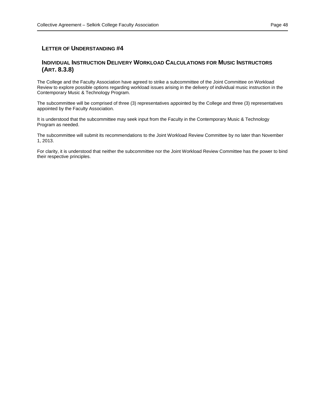# <span id="page-47-0"></span>**INDIVIDUAL INSTRUCTION DELIVERY WORKLOAD CALCULATIONS FOR MUSIC INSTRUCTORS (ART. 8.3.8)**

The College and the Faculty Association have agreed to strike a subcommittee of the Joint Committee on Workload Review to explore possible options regarding workload issues arising in the delivery of individual music instruction in the Contemporary Music & Technology Program.

The subcommittee will be comprised of three (3) representatives appointed by the College and three (3) representatives appointed by the Faculty Association.

It is understood that the subcommittee may seek input from the Faculty in the Contemporary Music & Technology Program as needed.

The subcommittee will submit its recommendations to the Joint Workload Review Committee by no later than November 1, 2013.

For clarity, it is understood that neither the subcommittee nor the Joint Workload Review Committee has the power to bind their respective principles.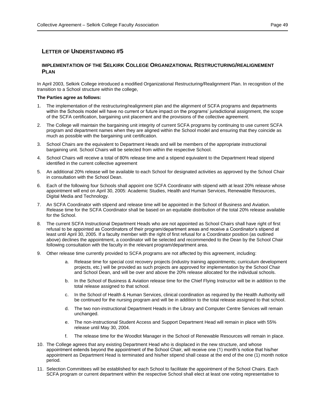# <span id="page-48-0"></span>**IMPLEMENTATION OF THE SELKIRK COLLEGE ORGANIZATIONAL RESTRUCTURING/REALIGNEMENT PLAN**

In April 2003, Selkirk College introduced a modified Organizational Restructuring/Realignment Plan. In recognition of the transition to a School structure within the college,

### **The Parties agree as follows:**

- 1. The implementation of the restructuring/realignment plan and the alignment of SCFA programs and departments within the Schools model will have no current or future impact on the programs' jurisdictional assignment, the scope of the SCFA certification, bargaining unit placement and the provisions of the collective agreement.
- 2. The College will maintain the bargaining unit integrity of current SCFA programs by continuing to use current SCFA program and department names when they are aligned within the School model and ensuring that they coincide as much as possible with the bargaining unit certification.
- 3. School Chairs are the equivalent to Department Heads and will be members of the appropriate instructional bargaining unit. School Chairs will be selected from within the respective School.
- 4. School Chairs will receive a total of 80% release time and a stipend equivalent to the Department Head stipend identified in the current collective agreement
- 5. An additional 20% release will be available to each School for designated activities as approved by the School Chair in consultation with the School Dean.
- 6. Each of the following four Schools shall appoint one SCFA Coordinator with stipend with at least 20% release whose appointment will end on April 30, 2005: Academic Studies, Health and Human Services, Renewable Resources, Digital Media and Technology.
- 7. An SCFA Coordinator with stipend and release time will be appointed in the School of Business and Aviation. Release time for the SCFA Coordinator shall be based on an equitable distribution of the total 20% release available for the School.
- 8. The current SCFA Instructional Department Heads who are not appointed as School Chairs shall have right of first refusal to be appointed as Coordinators of their program/department areas and receive a Coordinator's stipend at least until April 30, 2005. If a faculty member with the right of first refusal for a Coordinator position (as outlined above) declines the appointment, a coordinator will be selected and recommended to the Dean by the School Chair following consultation with the faculty in the relevant program/department area.
- 9. Other release time currently provided to SCFA programs are not affected by this agreement, including:
	- a. Release time for special cost recovery projects (industry training appointments; curriculum development projects, etc.) will be provided as such projects are approved for implementation by the School Chair and School Dean, and will be over and above the 20% release allocated for the individual schools.
	- b. In the School of Business & Aviation release time for the Chief Flying Instructor will be in addition to the total release assigned to that school.
	- c. In the School of Health & Human Services, clinical coordination as required by the Health Authority will be continued for the nursing program and will be in addition to the total release assigned to that school.
	- d. The two non-instructional Department Heads in the Library and Computer Centre Services will remain unchanged.
	- e. The non-instructional Student Access and Support Department Head will remain in place with 55% release until May 30, 2004.
	- f. The release time for the Woodlot Manager in the School of Renewable Resources will remain in place.
- 10. The College agrees that any existing Department Head who is displaced in the new structure, and whose appointment extends beyond the appointment of the School Chair, will receive one (1) month's notice that his/her appointment as Department Head is terminated and his/her stipend shall cease at the end of the one (1) month notice period.
- 11. Selection Committees will be established for each School to facilitate the appointment of the School Chairs. Each SCFA program or current department within the respective School shall elect at least one voting representative to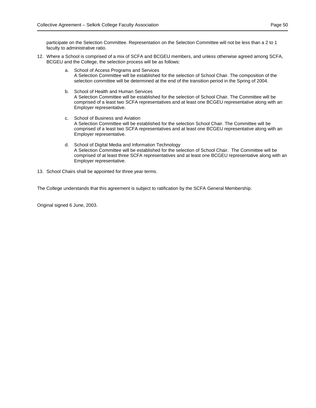participate on the Selection Committee. Representation on the Selection Committee will not be less than a 2 to 1 faculty to administrative ratio.

- 12. Where a School is comprised of a mix of SCFA and BCGEU members, and unless otherwise agreed among SCFA, BCGEU and the College, the selection process will be as follows:
	- a. School of Access Programs and Services A Selection Committee will be established for the selection of School Chair. The composition of the selection committee will be determined at the end of the transition period in the Spring of 2004.
	- b. School of Health and Human Services A Selection Committee will be established for the selection of School Chair. The Committee will be comprised of a least two SCFA representatives and at least one BCGEU representative along with an Employer representative.
	- c. School of Business and Aviation A Selection Committee will be established for the selection School Chair. The Committee will be comprised of a least two SCFA representatives and at least one BCGEU representative along with an Employer representative.
	- d. School of Digital Media and Information Technology A Selection Committee will be established for the selection of School Chair. The Committee will be comprised of at least three SCFA representatives and at least one BCGEU representative along with an Employer representative.

13. School Chairs shall be appointed for three year terms.

The College understands that this agreement is subject to ratification by the SCFA General Membership.

Original signed 6 June, 2003.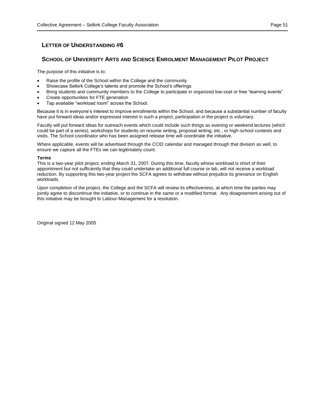# <span id="page-50-0"></span>**SCHOOL OF UNIVERSITY ARTS AND SCIENCE ENROLMENT MANAGEMENT PILOT PROJECT**

The purpose of this initiative is to:

- Raise the profile of the School within the College and the community
- Showcase Selkirk College's talents and promote the School's offerings
- Bring students and community members to the College to participate in organized low-cost or free "learning events"
- Create opportunities for FTE generation
- Tap available "workload room" across the School.

Because it is in everyone's interest to improve enrollments within the School, and because a substantial number of faculty have put forward ideas and/or expressed interest in such a project, participation in the project is voluntary.

Faculty will put forward ideas for outreach events which could include such things as evening or weekend lectures (which could be part of a series), workshops for students on resume writing, proposal writing, etc., or high-school contests and visits. The School coordinator who has been assigned release time will coordinate the initiative.

Where applicable, events will be advertised through the CCID calendar and managed through that division as well, to ensure we capture all the FTEs we can legitimately count.

#### **Terms**

This is a two-year pilot project, ending March 31, 2007. During this time, faculty whose workload is short of their appointment but not sufficiently that they could undertake an additional full course or lab, will not receive a workload reduction. By supporting this two-year project the SCFA agrees to withdraw without prejudice its grievance on English workloads.

Upon completion of the project, the College and the SCFA will review its effectiveness, at which time the parties may jointly agree to discontinue the initiative, or to continue in the same or a modified format. Any disagreement arising out of this initiative may be brought to Labour-Management for a resolution.

Original signed 12 May 2005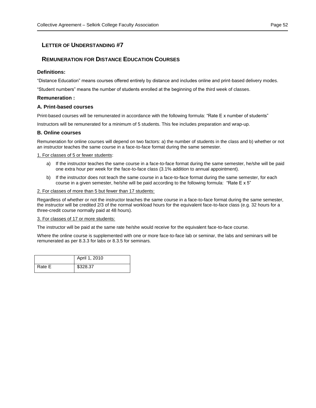# <span id="page-51-0"></span>**REMUNERATION FOR DISTANCE EDUCATION COURSES**

# **Definitions:**

"Distance Education" means courses offered entirely by distance and includes online and print-based delivery modes.

"Student numbers" means the number of students enrolled at the beginning of the third week of classes.

# **Remuneration :**

# **A. Print-based courses**

Print-based courses will be remunerated in accordance with the following formula: "Rate E x number of students"

Instructors will be remunerated for a minimum of 5 students. This fee includes preparation and wrap-up.

# **B. Online courses**

Remuneration for online courses will depend on two factors: a) the number of students in the class and b) whether or not an instructor teaches the same course in a face-to-face format during the same semester.

1. For classes of 5 or fewer students:

- a) If the instructor teaches the same course in a face-to-face format during the same semester, he/she will be paid one extra hour per week for the face-to-face class (3.1% addition to annual appointment).
- b) If the instructor does not teach the same course in a face-to-face format during the same semester, for each course in a given semester, he/she will be paid according to the following formula: "Rate E x 5"

#### 2. For classes of more than 5 but fewer than 17 students:

Regardless of whether or not the instructor teaches the same course in a face-to-face format during the same semester, the instructor will be credited 2/3 of the normal workload hours for the equivalent face-to-face class (e.g. 32 hours for a three-credit course normally paid at 48 hours).

#### 3. For classes of 17 or more students:

The instructor will be paid at the same rate he/she would receive for the equivalent face-to-face course.

Where the online course is supplemented with one or more face-to-face lab or seminar, the labs and seminars will be remunerated as per 8.3.3 for labs or 8.3.5 for seminars.

|        | April 1, 2010 |
|--------|---------------|
| Rate E | \$328.37      |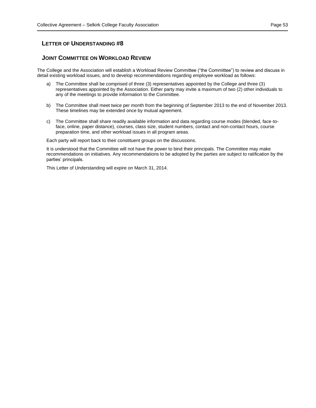# <span id="page-52-0"></span>**JOINT COMMITTEE ON WORKLOAD REVIEW**

The College and the Association will establish a Workload Review Committee ("the Committee") to review and discuss in detail existing workload issues, and to develop recommendations regarding employee workload as follows:

- a) The Committee shall be comprised of three (3) representatives appointed by the College and three (3) representatives appointed by the Association. Either party may invite a maximum of two (2) other individuals to any of the meetings to provide information to the Committee.
- b) The Committee shall meet twice per month from the beginning of September 2013 to the end of November 2013. These timelines may be extended once by mutual agreement.
- c) The Committee shall share readily available information and data regarding course modes (blended, face-toface, online, paper distance), courses, class size, student numbers, contact and non-contact hours, course preparation time, and other workload issues in all program areas.

Each party will report back to their constituent groups on the discussions.

It is understood that the Committee will not have the power to bind their principals. The Committee may make recommendations on initiatives. Any recommendations to be adopted by the parties are subject to ratification by the parties' principals.

This Letter of Understanding will expire on March 31, 2014.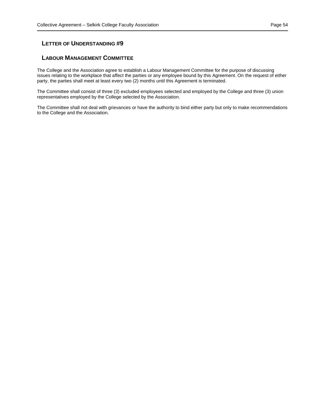# <span id="page-53-0"></span>**LABOUR MANAGEMENT COMMITTEE**

The College and the Association agree to establish a Labour Management Committee for the purpose of discussing issues relating to the workplace that affect the parties or any employee bound by this Agreement. On the request of either party, the parties shall meet at least every two (2) months until this Agreement is terminated.

The Committee shall consist of three (3) excluded employees selected and employed by the College and three (3) union representatives employed by the College selected by the Association.

The Committee shall not deal with grievances or have the authority to bind either party but only to make recommendations to the College and the Association.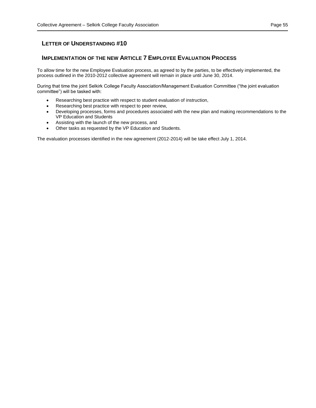# <span id="page-54-0"></span>**IMPLEMENTATION OF THE NEW ARTICLE 7 EMPLOYEE EVALUATION PROCESS**

To allow time for the new Employee Evaluation process, as agreed to by the parties, to be effectively implemented, the process outlined in the 2010-2012 collective agreement will remain in place until June 30, 2014.

During that time the joint Selkirk College Faculty Association/Management Evaluation Committee ("the joint evaluation committee") will be tasked with:

- Researching best practice with respect to student evaluation of instruction,
- Researching best practice with respect to peer review,
- Developing processes, forms and procedures associated with the new plan and making recommendations to the VP Education and Students
- Assisting with the launch of the new process, and
- Other tasks as requested by the VP Education and Students.

The evaluation processes identified in the new agreement (2012-2014) will be take effect July 1, 2014.